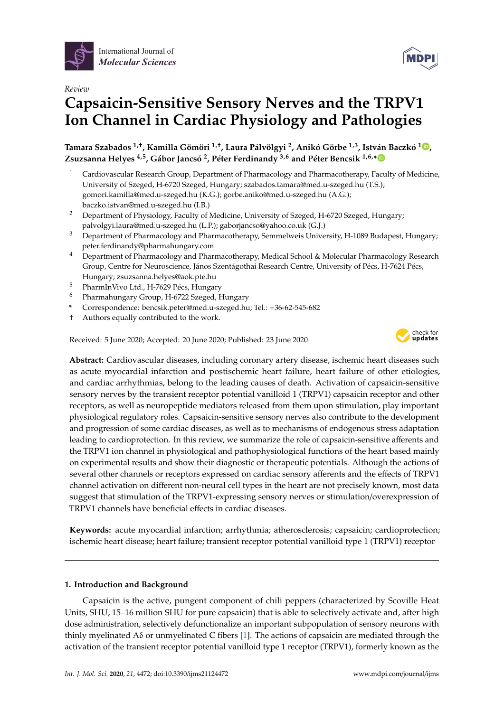



# *Review* **Capsaicin-Sensitive Sensory Nerves and the TRPV1 Ion Channel in Cardiac Physiology and Pathologies**

**Tamara Szabados 1,**† **, Kamilla Gömöri 1,**† **, Laura Pálvölgyi <sup>2</sup> , Anikó Görbe 1,3, István Baczkó 1 [,](https://orcid.org/0000-0002-9588-0797) Zsuzsanna Helyes 4,5, Gábor Jancsó 2 , Péter Ferdinandy 3,6 and Péter Bencsik 1,6,[\\*](https://orcid.org/0000-0003-1936-6232)**

- <sup>1</sup> Cardiovascular Research Group, Department of Pharmacology and Pharmacotherapy, Faculty of Medicine, University of Szeged, H-6720 Szeged, Hungary; szabados.tamara@med.u-szeged.hu (T.S.); gomori.kamilla@med.u-szeged.hu (K.G.); gorbe.aniko@med.u-szeged.hu (A.G.); baczko.istvan@med.u-szeged.hu (I.B.)
- <sup>2</sup> Department of Physiology, Faculty of Medicine, University of Szeged, H-6720 Szeged, Hungary; palvolgyi.laura@med.u-szeged.hu (L.P.); gaborjancso@yahoo.co.uk (G.J.)
- <sup>3</sup> Department of Pharmacology and Pharmacotherapy, Semmelweis University, H-1089 Budapest, Hungary; peter.ferdinandy@pharmahungary.com
- <sup>4</sup> Department of Pharmacology and Pharmacotherapy, Medical School & Molecular Pharmacology Research Group, Centre for Neuroscience, János Szentágothai Research Centre, University of Pécs, H-7624 Pécs, Hungary; zsuzsanna.helyes@aok.pte.hu
- <sup>5</sup> PharmInVivo Ltd., H-7629 Pécs, Hungary
- <sup>6</sup> Pharmahungary Group, H-6722 Szeged, Hungary
- **\*** Correspondence: bencsik.peter@med.u-szeged.hu; Tel.: +36-62-545-682
- † Authors equally contributed to the work.

Received: 5 June 2020; Accepted: 20 June 2020; Published: 23 June 2020



**Abstract:** Cardiovascular diseases, including coronary artery disease, ischemic heart diseases such as acute myocardial infarction and postischemic heart failure, heart failure of other etiologies, and cardiac arrhythmias, belong to the leading causes of death. Activation of capsaicin-sensitive sensory nerves by the transient receptor potential vanilloid 1 (TRPV1) capsaicin receptor and other receptors, as well as neuropeptide mediators released from them upon stimulation, play important physiological regulatory roles. Capsaicin-sensitive sensory nerves also contribute to the development and progression of some cardiac diseases, as well as to mechanisms of endogenous stress adaptation leading to cardioprotection. In this review, we summarize the role of capsaicin-sensitive afferents and the TRPV1 ion channel in physiological and pathophysiological functions of the heart based mainly on experimental results and show their diagnostic or therapeutic potentials. Although the actions of several other channels or receptors expressed on cardiac sensory afferents and the effects of TRPV1 channel activation on different non-neural cell types in the heart are not precisely known, most data suggest that stimulation of the TRPV1-expressing sensory nerves or stimulation/overexpression of TRPV1 channels have beneficial effects in cardiac diseases.

**Keywords:** acute myocardial infarction; arrhythmia; atherosclerosis; capsaicin; cardioprotection; ischemic heart disease; heart failure; transient receptor potential vanilloid type 1 (TRPV1) receptor

## **1. Introduction and Background**

Capsaicin is the active, pungent component of chili peppers (characterized by Scoville Heat Units, SHU, 15–16 million SHU for pure capsaicin) that is able to selectively activate and, after high dose administration, selectively defunctionalize an important subpopulation of sensory neurons with thinly myelinated Aδ or unmyelinated C fibers [\[1\]](#page-15-0). The actions of capsaicin are mediated through the activation of the transient receptor potential vanilloid type 1 receptor (TRPV1), formerly known as the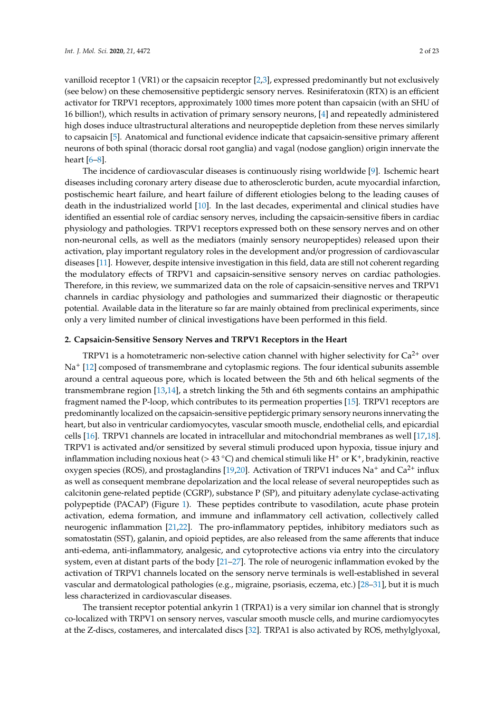vanilloid receptor 1 (VR1) or the capsaicin receptor [\[2](#page-15-1)[,3\]](#page-16-0), expressed predominantly but not exclusively (see below) on these chemosensitive peptidergic sensory nerves. Resiniferatoxin (RTX) is an efficient activator for TRPV1 receptors, approximately 1000 times more potent than capsaicin (with an SHU of 16 billion!), which results in activation of primary sensory neurons, [\[4\]](#page-16-1) and repeatedly administered high doses induce ultrastructural alterations and neuropeptide depletion from these nerves similarly to capsaicin [\[5\]](#page-16-2). Anatomical and functional evidence indicate that capsaicin-sensitive primary afferent neurons of both spinal (thoracic dorsal root ganglia) and vagal (nodose ganglion) origin innervate the heart [\[6](#page-16-3)[–8\]](#page-16-4).

The incidence of cardiovascular diseases is continuously rising worldwide [\[9\]](#page-16-5). Ischemic heart diseases including coronary artery disease due to atherosclerotic burden, acute myocardial infarction, postischemic heart failure, and heart failure of different etiologies belong to the leading causes of death in the industrialized world [\[10\]](#page-16-6). In the last decades, experimental and clinical studies have identified an essential role of cardiac sensory nerves, including the capsaicin-sensitive fibers in cardiac physiology and pathologies. TRPV1 receptors expressed both on these sensory nerves and on other non-neuronal cells, as well as the mediators (mainly sensory neuropeptides) released upon their activation, play important regulatory roles in the development and/or progression of cardiovascular diseases [\[11\]](#page-16-7). However, despite intensive investigation in this field, data are still not coherent regarding the modulatory effects of TRPV1 and capsaicin-sensitive sensory nerves on cardiac pathologies. Therefore, in this review, we summarized data on the role of capsaicin-sensitive nerves and TRPV1 channels in cardiac physiology and pathologies and summarized their diagnostic or therapeutic potential. Available data in the literature so far are mainly obtained from preclinical experiments, since only a very limited number of clinical investigations have been performed in this field.

## **2. Capsaicin-Sensitive Sensory Nerves and TRPV1 Receptors in the Heart**

TRPV1 is a homotetrameric non-selective cation channel with higher selectivity for  $Ca^{2+}$  over Na<sup>+</sup> [\[12\]](#page-16-8) composed of transmembrane and cytoplasmic regions. The four identical subunits assemble around a central aqueous pore, which is located between the 5th and 6th helical segments of the transmembrane region [\[13,](#page-16-9)[14\]](#page-16-10), a stretch linking the 5th and 6th segments contains an amphipathic fragment named the P-loop, which contributes to its permeation properties [\[15\]](#page-16-11). TRPV1 receptors are predominantly localized on the capsaicin-sensitive peptidergic primary sensory neurons innervating the heart, but also in ventricular cardiomyocytes, vascular smooth muscle, endothelial cells, and epicardial cells [\[16\]](#page-16-12). TRPV1 channels are located in intracellular and mitochondrial membranes as well [\[17,](#page-16-13)[18\]](#page-16-14). TRPV1 is activated and/or sensitized by several stimuli produced upon hypoxia, tissue injury and inflammation including noxious heat (> 43 °C) and chemical stimuli like H<sup>+</sup> or K<sup>+</sup>, bradykinin, reactive oxygen species (ROS), and prostaglandins [\[19](#page-16-15)[,20\]](#page-16-16). Activation of TRPV1 induces Na<sup>+</sup> and Ca<sup>2+</sup> influx as well as consequent membrane depolarization and the local release of several neuropeptides such as calcitonin gene-related peptide (CGRP), substance P (SP), and pituitary adenylate cyclase-activating polypeptide (PACAP) (Figure [1\)](#page-2-0). These peptides contribute to vasodilation, acute phase protein activation, edema formation, and immune and inflammatory cell activation, collectively called neurogenic inflammation [\[21](#page-16-17)[,22\]](#page-16-18). The pro-inflammatory peptides, inhibitory mediators such as somatostatin (SST), galanin, and opioid peptides, are also released from the same afferents that induce anti-edema, anti-inflammatory, analgesic, and cytoprotective actions via entry into the circulatory system, even at distant parts of the body [\[21–](#page-16-17)[27\]](#page-17-0). The role of neurogenic inflammation evoked by the activation of TRPV1 channels located on the sensory nerve terminals is well-established in several vascular and dermatological pathologies (e.g., migraine, psoriasis, eczema, etc.) [\[28–](#page-17-1)[31\]](#page-17-2), but it is much less characterized in cardiovascular diseases.

The transient receptor potential ankyrin 1 (TRPA1) is a very similar ion channel that is strongly co-localized with TRPV1 on sensory nerves, vascular smooth muscle cells, and murine cardiomyocytes at the Z-discs, costameres, and intercalated discs [\[32\]](#page-17-3). TRPA1 is also activated by ROS, methylglyoxal,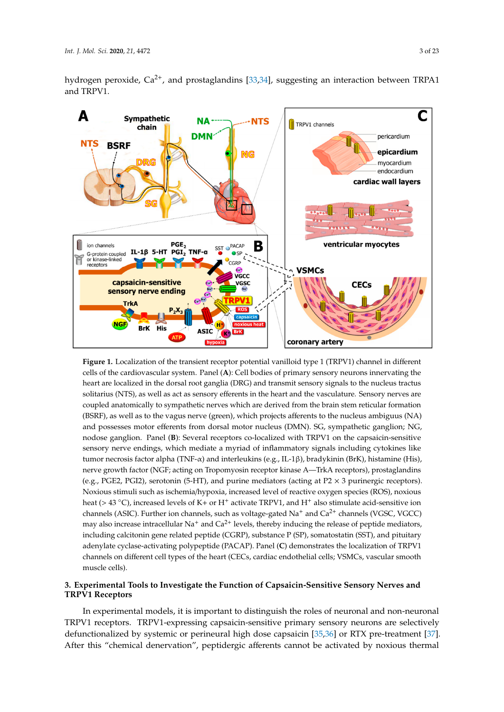hydrogen peroxide,  $Ca^{2+}$ , and prostaglandins [\[33,](#page-17-4)[34\]](#page-17-5), suggesting an interaction between TRPA1 and TRPV1. **Ind. TDDV1** 

<span id="page-2-0"></span>

**Figure 1.** Localization of the transient receptor potential vanilloid type 1 (TRPV1) channel in different **Figure 1.** Localization of the transient receptor potential vanilloid type 1 (TRPV1) channel in different cells of the cardiovascular system. Panel (**A**): Cell bodies of primary sensory neurons innervating the cells of the cardiovascular system. Panel (**A**): Cell bodies of primary sensory neurons innervating the heart are localized in the dorsal root ganglia (DRG) and transmit sensory signals to the nucleus tractus heart are localized in the dorsal root ganglia (DRG) and transmit sensory signals to the nucleus tractus solitarius (NTS), as well as act as sensory efferents in the heart and the vasculature. Sensory nerves solitarius (NTS), as well as act as sensory efferents in the heart and the vasculature. Sensory nerves are coupled anatomically to sympathetic nerves which are derived from the brain stem reticular formation (BSRF), as well as to the vagus nerve (green), which projects afferents to the nucleus ambiguus (NA) and possesses motor efferents from dorsal motor nucleus (DMN). SG, sympathetic ganglion; NG, nodose ganglion. Panel (**B**): Several receptors co-localized with TRPV1 on the capsaicin-sensitive sensory nerve endings, which mediate a myriad of inflammatory signals including cytokines like tumor necrosis factor alpha (TNF-α) and interleukins (e.g., IL-1β), bradykinin (BrK), histamine (His), nerve growth factor (NGF; acting on Tropomyosin receptor kinase A—TrkA receptors), prostaglandins (e.g., PGE2, PGI2), serotonin (5-HT), and purine mediators (acting at P2  $\times$  3 purinergic receptors). Noxious stimuli such as ischemia/hypoxia, increased level of reactive oxygen species (ROS), noxious heat (> 43 °C), increased levels of K+ or H<sup>+</sup> activate TRPV1, and H<sup>+</sup> also stimulate acid-sensitive ion channels (ASIC). Further ion channels, such as voltage-gated Na<sup>+</sup> and Ca<sup>2+</sup> channels (VGSC, VGCC) may also increase intracellular  $\text{Na}^+$  and  $\text{Ca}^{2+}$  levels, thereby inducing the release of peptide mediators, including calcitonin gene related peptide (CGRP), substance P (SP), somatostatin (SST), and pituitary adenylate cyclase-activating polypeptide (PACAP). Panel (**C**) demonstrates the localization of TRPV1 channels on different cell types of the heart (CECs, cardiac endothelial cells; VSMCs, vascular smooth  $\mu$ uscle cells). muscle cells).

## 3. Experimental Tools to Investigate the Function of Capsaicin-Sensitive Sensory Nerves and<br>TRPV1 Receptors **TRPV1 Receptors**

co-localized with TRPV1 on sensory nerves, vascular smooth muscle cells, and murine In experimental models, it is important to distinguish the roles of neuronal and non-neuronal TRPV1 receptors. TRPV1-expressing capsaicin-sensitive primary sensory neurons are selectively defunctionalized by systemic or perineural high dose capsaicin [\[35,](#page-17-6)[36\]](#page-17-7) or RTX pre-treatment [\[37\]](#page-17-8). After this "chemical denervation", peptidergic afferents cannot be activated by noxious thermal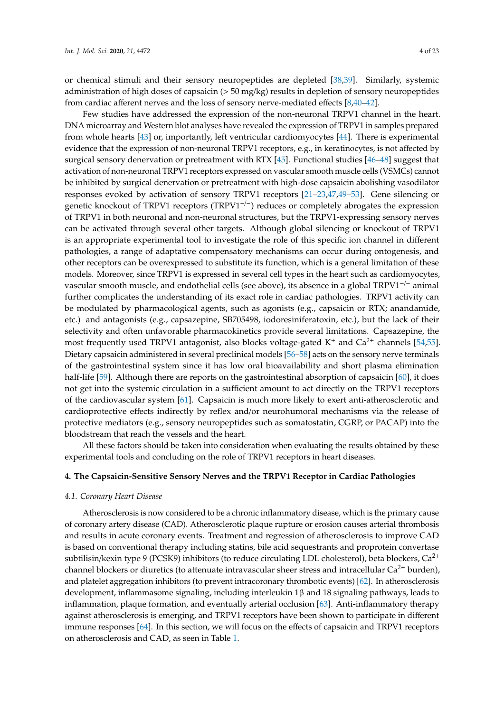or chemical stimuli and their sensory neuropeptides are depleted [\[38](#page-17-9)[,39\]](#page-17-10). Similarly, systemic administration of high doses of capsaicin (> 50 mg/kg) results in depletion of sensory neuropeptides from cardiac afferent nerves and the loss of sensory nerve-mediated effects [\[8,](#page-16-4)[40–](#page-17-11)[42\]](#page-17-12).

Few studies have addressed the expression of the non-neuronal TRPV1 channel in the heart. DNA microarray and Western blot analyses have revealed the expression of TRPV1 in samples prepared from whole hearts [\[43\]](#page-17-13) or, importantly, left ventricular cardiomyocytes [\[44\]](#page-17-14). There is experimental evidence that the expression of non-neuronal TRPV1 receptors, e.g., in keratinocytes, is not affected by surgical sensory denervation or pretreatment with RTX [\[45\]](#page-18-0). Functional studies [\[46](#page-18-1)[–48\]](#page-18-2) suggest that activation of non-neuronal TRPV1 receptors expressed on vascular smooth muscle cells (VSMCs) cannot be inhibited by surgical denervation or pretreatment with high-dose capsaicin abolishing vasodilator responses evoked by activation of sensory TRPV1 receptors [\[21–](#page-16-17)[23](#page-16-19)[,47](#page-18-3)[,49–](#page-18-4)[53\]](#page-18-5). Gene silencing or genetic knockout of TRPV1 receptors (TRPV1<sup>-/-</sup>) reduces or completely abrogates the expression of TRPV1 in both neuronal and non-neuronal structures, but the TRPV1-expressing sensory nerves can be activated through several other targets. Although global silencing or knockout of TRPV1 is an appropriate experimental tool to investigate the role of this specific ion channel in different pathologies, a range of adaptative compensatory mechanisms can occur during ontogenesis, and other receptors can be overexpressed to substitute its function, which is a general limitation of these models. Moreover, since TRPV1 is expressed in several cell types in the heart such as cardiomyocytes, vascular smooth muscle, and endothelial cells (see above), its absence in a global TRPV1−/<sup>−</sup> animal further complicates the understanding of its exact role in cardiac pathologies. TRPV1 activity can be modulated by pharmacological agents, such as agonists (e.g., capsaicin or RTX; anandamide, etc.) and antagonists (e.g., capsazepine, SB705498, iodoresiniferatoxin, etc.), but the lack of their selectivity and often unfavorable pharmacokinetics provide several limitations. Capsazepine, the most frequently used TRPV1 antagonist, also blocks voltage-gated  $K^+$  and  $Ca^{2+}$  channels [\[54,](#page-18-6)[55\]](#page-18-7). Dietary capsaicin administered in several preclinical models [\[56–](#page-18-8)[58\]](#page-18-9) acts on the sensory nerve terminals of the gastrointestinal system since it has low oral bioavailability and short plasma elimination half-life [\[59\]](#page-18-10). Although there are reports on the gastrointestinal absorption of capsaicin [\[60\]](#page-18-11), it does not get into the systemic circulation in a sufficient amount to act directly on the TRPV1 receptors of the cardiovascular system [\[61\]](#page-18-12). Capsaicin is much more likely to exert anti-atherosclerotic and cardioprotective effects indirectly by reflex and/or neurohumoral mechanisms via the release of protective mediators (e.g., sensory neuropeptides such as somatostatin, CGRP, or PACAP) into the bloodstream that reach the vessels and the heart.

All these factors should be taken into consideration when evaluating the results obtained by these experimental tools and concluding on the role of TRPV1 receptors in heart diseases.

## **4. The Capsaicin-Sensitive Sensory Nerves and the TRPV1 Receptor in Cardiac Pathologies**

#### *4.1. Coronary Heart Disease*

Atherosclerosis is now considered to be a chronic inflammatory disease, which is the primary cause of coronary artery disease (CAD). Atherosclerotic plaque rupture or erosion causes arterial thrombosis and results in acute coronary events. Treatment and regression of atherosclerosis to improve CAD is based on conventional therapy including statins, bile acid sequestrants and proprotein convertase subtilisin/kexin type 9 (PCSK9) inhibitors (to reduce circulating LDL cholesterol), beta blockers, Ca<sup>2+</sup> channel blockers or diuretics (to attenuate intravascular sheer stress and intracellular  $Ca^{2+}$  burden), and platelet aggregation inhibitors (to prevent intracoronary thrombotic events) [\[62\]](#page-18-13). In atherosclerosis development, inflammasome signaling, including interleukin 1β and 18 signaling pathways, leads to inflammation, plaque formation, and eventually arterial occlusion [\[63\]](#page-18-14). Anti-inflammatory therapy against atherosclerosis is emerging, and TRPV1 receptors have been shown to participate in different immune responses [\[64\]](#page-18-15). In this section, we will focus on the effects of capsaicin and TRPV1 receptors on atherosclerosis and CAD, as seen in Table [1.](#page-5-0)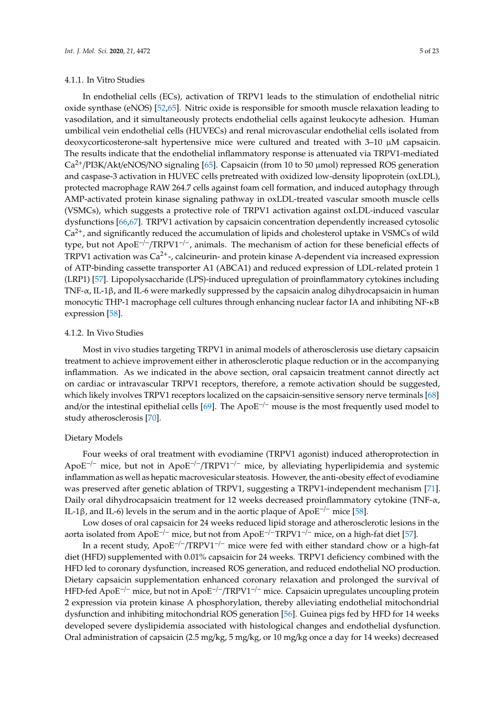## 4.1.1. In Vitro Studies

In endothelial cells (ECs), activation of TRPV1 leads to the stimulation of endothelial nitric oxide synthase (eNOS) [\[52](#page-18-16)[,65\]](#page-18-17). Nitric oxide is responsible for smooth muscle relaxation leading to vasodilation, and it simultaneously protects endothelial cells against leukocyte adhesion. Human umbilical vein endothelial cells (HUVECs) and renal microvascular endothelial cells isolated from deoxycorticosterone-salt hypertensive mice were cultured and treated with 3–10 µM capsaicin. The results indicate that the endothelial inflammatory response is attenuated via TRPV1-mediated  $Ca^{2+}/PI3K/Akt/eNOS/NO$  signaling [\[65\]](#page-18-17). Capsaicin (from 10 to 50  $\mu$ mol) repressed ROS generation and caspase-3 activation in HUVEC cells pretreated with oxidized low-density lipoprotein (oxLDL), protected macrophage RAW 264.7 cells against foam cell formation, and induced autophagy through AMP-activated protein kinase signaling pathway in oxLDL-treated vascular smooth muscle cells (VSMCs), which suggests a protective role of TRPV1 activation against oxLDL-induced vascular dysfunctions [\[66,](#page-19-0)[67\]](#page-19-1). TRPV1 activation by capsaicin concentration dependently increased cytosolic  $Ca<sup>2+</sup>$ , and significantly reduced the accumulation of lipids and cholesterol uptake in VSMCs of wild type, but not ApoE−/−/TRPV1−/−, animals. The mechanism of action for these beneficial effects of TRPV1 activation was  $Ca^{2+}$ -, calcineurin- and protein kinase A-dependent via increased expression of ATP-binding cassette transporter A1 (ABCA1) and reduced expression of LDL-related protein 1 (LRP1) [\[57\]](#page-18-18). Lipopolysaccharide (LPS)-induced upregulation of proinflammatory cytokines including TNF-α, IL-1β, and IL-6 were markedly suppressed by the capsaicin analog dihydrocapsaicin in human monocytic THP-1 macrophage cell cultures through enhancing nuclear factor IA and inhibiting NF-κB expression [\[58\]](#page-18-9).

#### 4.1.2. In Vivo Studies

Most in vivo studies targeting TRPV1 in animal models of atherosclerosis use dietary capsaicin treatment to achieve improvement either in atherosclerotic plaque reduction or in the accompanying inflammation. As we indicated in the above section, oral capsaicin treatment cannot directly act on cardiac or intravascular TRPV1 receptors, therefore, a remote activation should be suggested, which likely involves TRPV1 receptors localized on the capsaicin-sensitive sensory nerve terminals [\[68\]](#page-19-2) and/or the intestinal epithelial cells [\[69\]](#page-19-3). The ApoE<sup>-/−</sup> mouse is the most frequently used model to study atherosclerosis [\[70\]](#page-19-4).

## Dietary Models

Four weeks of oral treatment with evodiamine (TRPV1 agonist) induced atheroprotection in ApoE−/<sup>−</sup> mice, but not in ApoE−/−/TRPV1−/<sup>−</sup> mice, by alleviating hyperlipidemia and systemic inflammation as well as hepatic macrovesicular steatosis. However, the anti-obesity effect of evodiamine was preserved after genetic ablation of TRPV1, suggesting a TRPV1-independent mechanism [\[71\]](#page-19-5). Daily oral dihydrocapsaicin treatment for 12 weeks decreased proinflammatory cytokine (TNF-α, IL-1β, and IL-6) levels in the serum and in the aortic plaque of ApoE<sup>-/−</sup> mice [\[58\]](#page-18-9).

Low doses of oral capsaicin for 24 weeks reduced lipid storage and atherosclerotic lesions in the aorta isolated from ApoE−/<sup>−</sup> mice, but not from ApoE−/−TRPV1−/<sup>−</sup> mice, on a high-fat diet [\[57\]](#page-18-18).

In a recent study, ApoE−/−/TRPV1−/<sup>−</sup> mice were fed with either standard chow or a high-fat diet (HFD) supplemented with 0.01% capsaicin for 24 weeks. TRPV1 deficiency combined with the HFD led to coronary dysfunction, increased ROS generation, and reduced endothelial NO production. Dietary capsaicin supplementation enhanced coronary relaxation and prolonged the survival of HFD-fed ApoE<sup>-/−</sup> mice, but not in ApoE<sup>-/-</sup>/TRPV1<sup>-/−</sup> mice. Capsaicin upregulates uncoupling protein 2 expression via protein kinase A phosphorylation, thereby alleviating endothelial mitochondrial dysfunction and inhibiting mitochondrial ROS generation [\[56\]](#page-18-8). Guinea pigs fed by HFD for 14 weeks developed severe dyslipidemia associated with histological changes and endothelial dysfunction. Oral administration of capsaicin (2.5 mg/kg, 5 mg/kg, or 10 mg/kg once a day for 14 weeks) decreased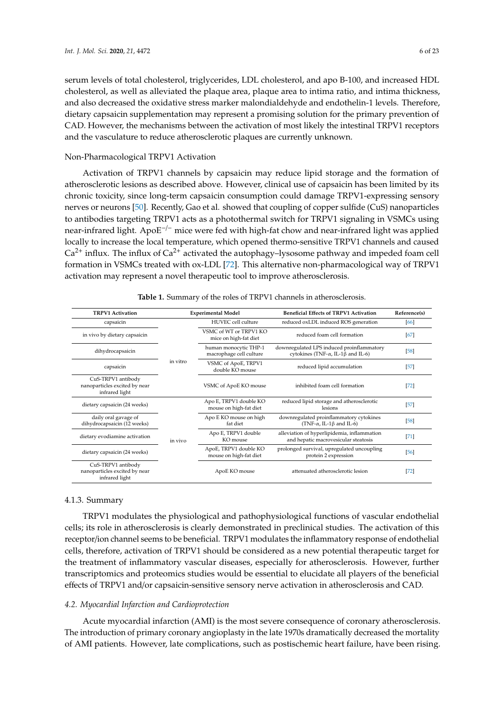serum levels of total cholesterol, triglycerides, LDL cholesterol, and apo B-100, and increased HDL cholesterol, as well as alleviated the plaque area, plaque area to intima ratio, and intima thickness, and also decreased the oxidative stress marker malondialdehyde and endothelin-1 levels. Therefore, dietary capsaicin supplementation may represent a promising solution for the primary prevention of CAD. However, the mechanisms between the activation of most likely the intestinal TRPV1 receptors and the vasculature to reduce atherosclerotic plaques are currently unknown.

## Non-Pharmacological TRPV1 Activation

Activation of TRPV1 channels by capsaicin may reduce lipid storage and the formation of atherosclerotic lesions as described above. However, clinical use of capsaicin has been limited by its chronic toxicity, since long-term capsaicin consumption could damage TRPV1-expressing sensory nerves or neurons [\[50\]](#page-18-19). Recently, Gao et al. showed that coupling of copper sulfide (CuS) nanoparticles to antibodies targeting TRPV1 acts as a photothermal switch for TRPV1 signaling in VSMCs using near-infrared light. ApoE<sup>-/-</sup> mice were fed with high-fat chow and near-infrared light was applied locally to increase the local temperature, which opened thermo-sensitive TRPV1 channels and caused  $Ca<sup>2+</sup>$  influx. The influx of  $Ca<sup>2+</sup>$  activated the autophagy–lysosome pathway and impeded foam cell formation in VSMCs treated with ox-LDL [\[72\]](#page-19-6). This alternative non-pharmacological way of TRPV1 activation may represent a novel therapeutic tool to improve atherosclerosis.

<span id="page-5-0"></span>

| <b>TRPV1 Activation</b>                                               |          | <b>Experimental Model</b>                        | <b>Beneficial Effects of TRPV1 Activation</b>                                                  | Reference(s) |
|-----------------------------------------------------------------------|----------|--------------------------------------------------|------------------------------------------------------------------------------------------------|--------------|
| capsaicin                                                             |          | HUVEC cell culture                               | reduced oxLDL induced ROS generation                                                           | [66]         |
| in vivo by dietary capsaicin                                          |          | VSMC of WT or TRPV1 KO<br>mice on high-fat diet  | reduced foam cell formation                                                                    | [67]         |
| dihydrocapsaicin                                                      |          | human monocytic THP-1<br>macrophage cell culture | downregulated LPS induced proinflammatory<br>cytokines (TNF- $\alpha$ , IL-1 $\beta$ and IL-6) | $[58]$       |
| capsaicin                                                             | in vitro | VSMC of ApoE, TRPV1<br>double KO mouse           | reduced lipid accumulation                                                                     | $[57]$       |
| CuS-TRPV1 antibody<br>nanoparticles excited by near<br>infrared light |          | VSMC of ApoE KO mouse                            | inhibited foam cell formation                                                                  | $[72]$       |
| dietary capsaicin (24 weeks)                                          |          | Apo E, TRPV1 double KO<br>mouse on high-fat diet | reduced lipid storage and atherosclerotic<br>lesions                                           | $[57]$       |
| daily oral gavage of<br>dihydrocapsaicin (12 weeks)                   |          | Apo E KO mouse on high<br>fat diet               | downregulated proinflammatory cytokines<br>(TNF- $\alpha$ , IL-1 $\beta$ and IL-6)             | $[58]$       |
| dietary evodiamine activation                                         | in vivo  | Apo E, TRPV1 double<br>KO mouse                  | alleviation of hyperlipidemia, inflammation<br>and hepatic macrovesicular steatosis            | $[71]$       |
| dietary capsaicin (24 weeks)                                          |          | ApoE, TRPV1 double KO<br>mouse on high-fat diet  | prolonged survival, upregulated uncoupling<br>protein 2 expression                             | [56]         |
| CuS-TRPV1 antibody<br>nanoparticles excited by near<br>infrared light |          | ApoE KO mouse                                    | attenuated atherosclerotic lesion                                                              | $[72]$       |

#### **Table 1.** Summary of the roles of TRPV1 channels in atherosclerosis.

#### 4.1.3. Summary

TRPV1 modulates the physiological and pathophysiological functions of vascular endothelial cells; its role in atherosclerosis is clearly demonstrated in preclinical studies. The activation of this receptor/ion channel seems to be beneficial. TRPV1 modulates the inflammatory response of endothelial cells, therefore, activation of TRPV1 should be considered as a new potential therapeutic target for the treatment of inflammatory vascular diseases, especially for atherosclerosis. However, further transcriptomics and proteomics studies would be essential to elucidate all players of the beneficial effects of TRPV1 and/or capsaicin-sensitive sensory nerve activation in atherosclerosis and CAD.

## *4.2. Myocardial Infarction and Cardioprotection*

Acute myocardial infarction (AMI) is the most severe consequence of coronary atherosclerosis. The introduction of primary coronary angioplasty in the late 1970s dramatically decreased the mortality of AMI patients. However, late complications, such as postischemic heart failure, have been rising.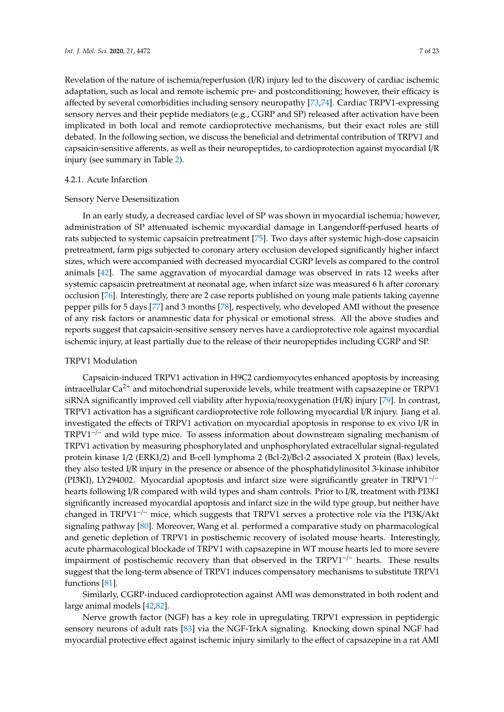Revelation of the nature of ischemia/reperfusion (I/R) injury led to the discovery of cardiac ischemic adaptation, such as local and remote ischemic pre- and postconditioning; however, their efficacy is affected by several comorbidities including sensory neuropathy [\[73,](#page-19-7)[74\]](#page-19-8). Cardiac TRPV1-expressing sensory nerves and their peptide mediators (e.g., CGRP and SP) released after activation have been implicated in both local and remote cardioprotective mechanisms, but their exact roles are still debated. In the following section, we discuss the beneficial and detrimental contribution of TRPV1 and capsaicin-sensitive afferents, as well as their neuropeptides, to cardioprotection against myocardial I/R injury (see summary in Table [2\)](#page-8-0).

## 4.2.1. Acute Infarction

#### Sensory Nerve Desensitization

In an early study, a decreased cardiac level of SP was shown in myocardial ischemia; however, administration of SP attenuated ischemic myocardial damage in Langendorff-perfused hearts of rats subjected to systemic capsaicin pretreatment [\[75\]](#page-19-9). Two days after systemic high-dose capsaicin pretreatment, farm pigs subjected to coronary artery occlusion developed significantly higher infarct sizes, which were accompanied with decreased myocardial CGRP levels as compared to the control animals [\[42\]](#page-17-12). The same aggravation of myocardial damage was observed in rats 12 weeks after systemic capsaicin pretreatment at neonatal age, when infarct size was measured 6 h after coronary occlusion [\[76\]](#page-19-10). Interestingly, there are 2 case reports published on young male patients taking cayenne pepper pills for 5 days [\[77\]](#page-19-11) and 3 months [\[78\]](#page-19-12), respectively, who developed AMI without the presence of any risk factors or anamnestic data for physical or emotional stress. All the above studies and reports suggest that capsaicin-sensitive sensory nerves have a cardioprotective role against myocardial ischemic injury, at least partially due to the release of their neuropeptides including CGRP and SP.

### TRPV1 Modulation

Capsaicin-induced TRPV1 activation in H9C2 cardiomyocytes enhanced apoptosis by increasing intracellular Ca<sup>2+</sup> and mitochondrial superoxide levels, while treatment with capsazepine or TRPV1 siRNA significantly improved cell viability after hypoxia/reoxygenation (H/R) injury [\[79\]](#page-19-13). In contrast, TRPV1 activation has a significant cardioprotective role following myocardial I/R injury. Jiang et al. investigated the effects of TRPV1 activation on myocardial apoptosis in response to ex vivo I/R in TRPV1−/<sup>−</sup> and wild type mice. To assess information about downstream signaling mechanism of TRPV1 activation by measuring phosphorylated and unphosphorylated extracellular signal-regulated protein kinase 1/2 (ERK1/2) and B-cell lymphoma 2 (Bcl-2)/Bcl-2 associated X protein (Bax) levels, they also tested I/R injury in the presence or absence of the phosphatidylinositol 3-kinase inhibitor (PI3KI), LY294002. Myocardial apoptosis and infarct size were significantly greater in TRPV1−/<sup>−</sup> hearts following I/R compared with wild types and sham controls. Prior to I/R, treatment with PI3KI significantly increased myocardial apoptosis and infarct size in the wild type group, but neither have changed in TRPV1−/<sup>−</sup> mice, which suggests that TRPV1 serves a protective role via the PI3K/Akt signaling pathway [\[80\]](#page-19-14). Moreover, Wang et al. performed a comparative study on pharmacological and genetic depletion of TRPV1 in postischemic recovery of isolated mouse hearts. Interestingly, acute pharmacological blockade of TRPV1 with capsazepine in WT mouse hearts led to more severe impairment of postischemic recovery than that observed in the  $TRPV1^{-/-}$  hearts. These results suggest that the long-term absence of TRPV1 induces compensatory mechanisms to substitute TRPV1 functions [\[81\]](#page-19-15).

Similarly, CGRP-induced cardioprotection against AMI was demonstrated in both rodent and large animal models [\[42](#page-17-12)[,82\]](#page-19-16).

Nerve growth factor (NGF) has a key role in upregulating TRPV1 expression in peptidergic sensory neurons of adult rats [\[83\]](#page-19-17) via the NGF-TrkA signaling. Knocking down spinal NGF had myocardial protective effect against ischemic injury similarly to the effect of capsazepine in a rat AMI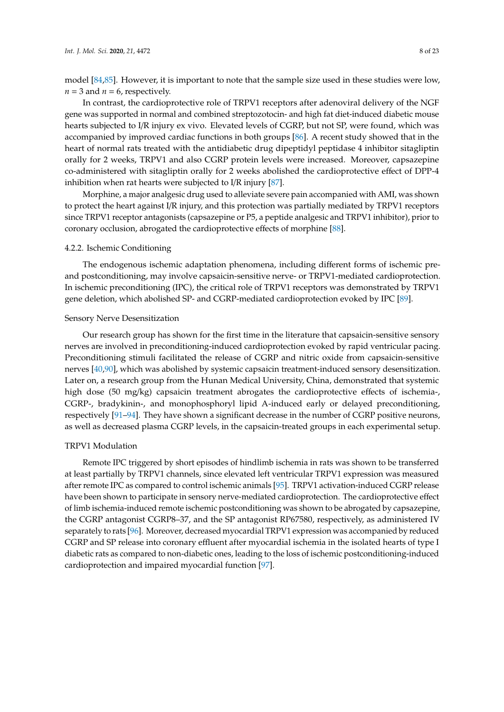model [\[84,](#page-19-18)[85\]](#page-19-19). However, it is important to note that the sample size used in these studies were low,  $n = 3$  and  $n = 6$ , respectively.

In contrast, the cardioprotective role of TRPV1 receptors after adenoviral delivery of the NGF gene was supported in normal and combined streptozotocin- and high fat diet-induced diabetic mouse hearts subjected to I/R injury ex vivo. Elevated levels of CGRP, but not SP, were found, which was accompanied by improved cardiac functions in both groups [\[86\]](#page-20-0). A recent study showed that in the heart of normal rats treated with the antidiabetic drug dipeptidyl peptidase 4 inhibitor sitagliptin orally for 2 weeks, TRPV1 and also CGRP protein levels were increased. Moreover, capsazepine co-administered with sitagliptin orally for 2 weeks abolished the cardioprotective effect of DPP-4 inhibition when rat hearts were subjected to I/R injury [\[87\]](#page-20-1).

Morphine, a major analgesic drug used to alleviate severe pain accompanied with AMI, was shown to protect the heart against I/R injury, and this protection was partially mediated by TRPV1 receptors since TRPV1 receptor antagonists (capsazepine or P5, a peptide analgesic and TRPV1 inhibitor), prior to coronary occlusion, abrogated the cardioprotective effects of morphine [\[88\]](#page-20-2).

#### 4.2.2. Ischemic Conditioning

The endogenous ischemic adaptation phenomena, including different forms of ischemic preand postconditioning, may involve capsaicin-sensitive nerve- or TRPV1-mediated cardioprotection. In ischemic preconditioning (IPC), the critical role of TRPV1 receptors was demonstrated by TRPV1 gene deletion, which abolished SP- and CGRP-mediated cardioprotection evoked by IPC [\[89\]](#page-20-3).

## Sensory Nerve Desensitization

Our research group has shown for the first time in the literature that capsaicin-sensitive sensory nerves are involved in preconditioning-induced cardioprotection evoked by rapid ventricular pacing. Preconditioning stimuli facilitated the release of CGRP and nitric oxide from capsaicin-sensitive nerves [\[40,](#page-17-11)[90\]](#page-20-4), which was abolished by systemic capsaicin treatment-induced sensory desensitization. Later on, a research group from the Hunan Medical University, China, demonstrated that systemic high dose (50 mg/kg) capsaicin treatment abrogates the cardioprotective effects of ischemia-, CGRP-, bradykinin-, and monophosphoryl lipid A-induced early or delayed preconditioning, respectively [\[91](#page-20-5)[–94\]](#page-20-6). They have shown a significant decrease in the number of CGRP positive neurons, as well as decreased plasma CGRP levels, in the capsaicin-treated groups in each experimental setup.

#### TRPV1 Modulation

Remote IPC triggered by short episodes of hindlimb ischemia in rats was shown to be transferred at least partially by TRPV1 channels, since elevated left ventricular TRPV1 expression was measured after remote IPC as compared to control ischemic animals [\[95\]](#page-20-7). TRPV1 activation-induced CGRP release have been shown to participate in sensory nerve-mediated cardioprotection. The cardioprotective effect of limb ischemia-induced remote ischemic postconditioning was shown to be abrogated by capsazepine, the CGRP antagonist CGRP8–37, and the SP antagonist RP67580, respectively, as administered IV separately to rats [\[96\]](#page-20-8). Moreover, decreased myocardial TRPV1 expression was accompanied by reduced CGRP and SP release into coronary effluent after myocardial ischemia in the isolated hearts of type I diabetic rats as compared to non-diabetic ones, leading to the loss of ischemic postconditioning-induced cardioprotection and impaired myocardial function [\[97\]](#page-20-9).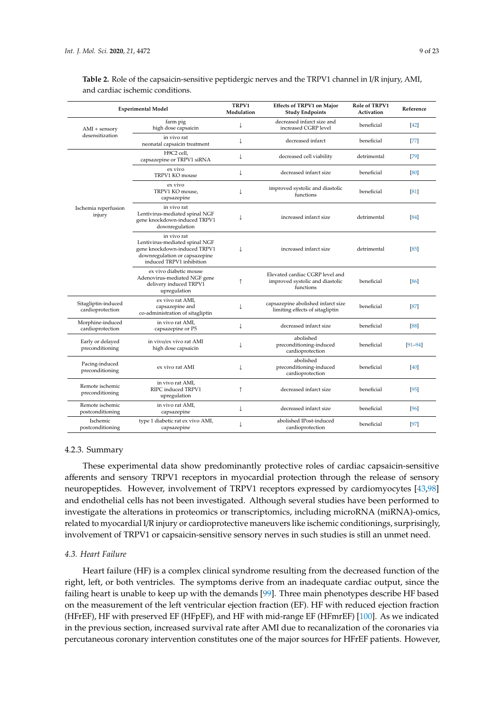|                                         | <b>Experimental Model</b>                                                                                                                  | TRPV1<br>Modulation | <b>Effects of TRPV1 on Major</b><br><b>Study Endpoints</b>                      | Role of TRPV1<br>Activation | Reference   |
|-----------------------------------------|--------------------------------------------------------------------------------------------------------------------------------------------|---------------------|---------------------------------------------------------------------------------|-----------------------------|-------------|
| $AMI +$ sensory                         | farm pig<br>high dose capsaicin                                                                                                            | ↓                   | decreased infarct size and<br>increased CGRP level                              | beneficial                  | $[42]$      |
| desensitization                         | in vivo rat<br>neonatal capsaicin treatment                                                                                                | ↓                   | decreased infarct                                                               | beneficial                  | $[77]$      |
|                                         | H9C2 cell,<br>capsazepine or TRPV1 siRNA                                                                                                   | ↓                   | decreased cell viability                                                        | detrimental                 | [79]        |
|                                         | ex vivo<br>TRPV1 KO mouse                                                                                                                  | ↓                   | decreased infarct size                                                          | beneficial                  | [80]        |
|                                         | ex vivo<br>TRPV1 KO mouse,<br>capsazepine                                                                                                  | T                   | improved systolic and diastolic<br>functions                                    | beneficial                  | [81]        |
| Ischemia reperfusion<br>injury          | in vivo rat<br>Lentivirus-mediated spinal NGF<br>gene knockdown-induced TRPV1<br>downregulation                                            | ↓                   | increased infarct size                                                          | detrimental                 | [84]        |
|                                         | in vivo rat<br>Lentivirus-mediated spinal NGF<br>gene knockdown-induced TRPV1<br>downregulation or capsazepine<br>induced TRPV1 inhibition | $\downarrow$        | increased infarct size                                                          | detrimental                 | [85]        |
|                                         | ex vivo diabetic mouse<br>Adenovirus-mediated NGF gene<br>delivery induced TRPV1<br>upregulation                                           | $\uparrow$          | Elevated cardiac CGRP level and<br>improved systolic and diastolic<br>functions | beneficial                  | [86]        |
| Sitagliptin-induced<br>cardioprotection | ex vivo rat AMI,<br>capsazepine and<br>co-administration of sitagliptin                                                                    | $\downarrow$        | capsazepine abolished infarct size<br>limiting effects of sitagliptin           | beneficial                  | [87]        |
| Morphine-induced<br>cardioprotection    | in vivo rat AMI,<br>capsazepine or P5                                                                                                      | ↓                   | decreased infarct size                                                          | beneficial                  | [88]        |
| Early or delayed<br>preconditioning     | in vivo/ex vivo rat AMI<br>high dose capsaicin                                                                                             | $\downarrow$        | abolished<br>preconditioning-induced<br>cardioprotection                        | beneficial                  | $[91 - 94]$ |
| Pacing-induced<br>preconditioning       | ex vivo rat AMI                                                                                                                            | ↓                   | abolished<br>preconditioning-induced<br>cardioprotection                        | beneficial                  | [40]        |
| Remote ischemic<br>preconditioning      | in vivo rat AMI,<br>RIPC induced TRPV1<br>upregulation                                                                                     | ↑                   | decreased infarct size                                                          | beneficial                  | [95]        |
| Remote ischemic<br>postconditioning     | in vivo rat AMI,<br>capsazepine                                                                                                            | T                   | decreased infarct size                                                          | beneficial                  | [96]        |
| Ischemic<br>postconditioning            | type 1 diabetic rat ex vivo AMI,<br>capsazepine                                                                                            | ↓                   | abolished IPost-induced<br>cardioprotection                                     | beneficial                  | [97]        |

<span id="page-8-0"></span>**Table 2.** Role of the capsaicin-sensitive peptidergic nerves and the TRPV1 channel in I/R injury, AMI, and cardiac ischemic conditions.

#### 4.2.3. Summary

These experimental data show predominantly protective roles of cardiac capsaicin-sensitive afferents and sensory TRPV1 receptors in myocardial protection through the release of sensory neuropeptides. However, involvement of TRPV1 receptors expressed by cardiomyocytes [\[43](#page-17-13)[,98\]](#page-20-10) and endothelial cells has not been investigated. Although several studies have been performed to investigate the alterations in proteomics or transcriptomics, including microRNA (miRNA)-omics, related to myocardial I/R injury or cardioprotective maneuvers like ischemic conditionings, surprisingly, involvement of TRPV1 or capsaicin-sensitive sensory nerves in such studies is still an unmet need.

#### *4.3. Heart Failure*

Heart failure (HF) is a complex clinical syndrome resulting from the decreased function of the right, left, or both ventricles. The symptoms derive from an inadequate cardiac output, since the failing heart is unable to keep up with the demands [\[99\]](#page-20-11). Three main phenotypes describe HF based on the measurement of the left ventricular ejection fraction (EF). HF with reduced ejection fraction (HFrEF), HF with preserved EF (HFpEF), and HF with mid-range EF (HFmrEF) [\[100\]](#page-20-12). As we indicated in the previous section, increased survival rate after AMI due to recanalization of the coronaries via percutaneous coronary intervention constitutes one of the major sources for HFrEF patients. However,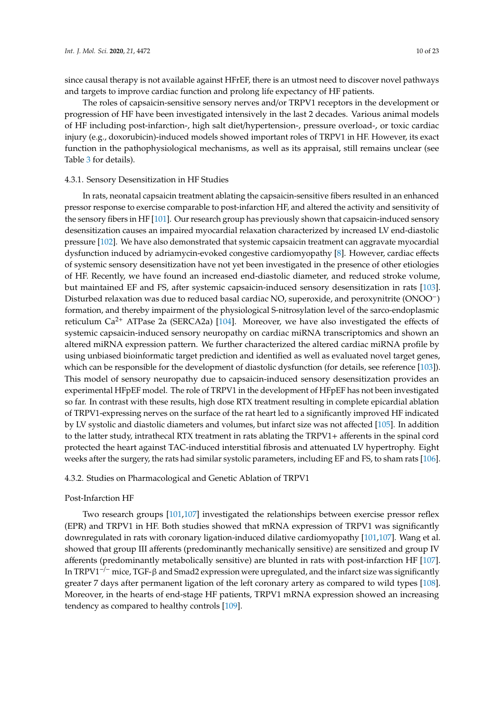since causal therapy is not available against HFrEF, there is an utmost need to discover novel pathways and targets to improve cardiac function and prolong life expectancy of HF patients.

The roles of capsaicin-sensitive sensory nerves and/or TRPV1 receptors in the development or progression of HF have been investigated intensively in the last 2 decades. Various animal models of HF including post-infarction-, high salt diet/hypertension-, pressure overload-, or toxic cardiac injury (e.g., doxorubicin)-induced models showed important roles of TRPV1 in HF. However, its exact function in the pathophysiological mechanisms, as well as its appraisal, still remains unclear (see Table [3](#page-11-0) for details).

## 4.3.1. Sensory Desensitization in HF Studies

In rats, neonatal capsaicin treatment ablating the capsaicin-sensitive fibers resulted in an enhanced pressor response to exercise comparable to post-infarction HF, and altered the activity and sensitivity of the sensory fibers in HF [\[101\]](#page-20-13). Our research group has previously shown that capsaicin-induced sensory desensitization causes an impaired myocardial relaxation characterized by increased LV end-diastolic pressure [\[102\]](#page-20-14). We have also demonstrated that systemic capsaicin treatment can aggravate myocardial dysfunction induced by adriamycin-evoked congestive cardiomyopathy [\[8\]](#page-16-4). However, cardiac effects of systemic sensory desensitization have not yet been investigated in the presence of other etiologies of HF. Recently, we have found an increased end-diastolic diameter, and reduced stroke volume, but maintained EF and FS, after systemic capsaicin-induced sensory desensitization in rats [\[103\]](#page-20-15). Disturbed relaxation was due to reduced basal cardiac NO, superoxide, and peroxynitrite (ONOO−) formation, and thereby impairment of the physiological S-nitrosylation level of the sarco-endoplasmic reticulum  $Ca^{2+}$  ATPase 2a (SERCA2a) [\[104\]](#page-21-0). Moreover, we have also investigated the effects of systemic capsaicin-induced sensory neuropathy on cardiac miRNA transcriptomics and shown an altered miRNA expression pattern. We further characterized the altered cardiac miRNA profile by using unbiased bioinformatic target prediction and identified as well as evaluated novel target genes, which can be responsible for the development of diastolic dysfunction (for details, see reference [\[103\]](#page-20-15)). This model of sensory neuropathy due to capsaicin-induced sensory desensitization provides an experimental HFpEF model. The role of TRPV1 in the development of HFpEF has not been investigated so far. In contrast with these results, high dose RTX treatment resulting in complete epicardial ablation of TRPV1-expressing nerves on the surface of the rat heart led to a significantly improved HF indicated by LV systolic and diastolic diameters and volumes, but infarct size was not affected [\[105\]](#page-21-1). In addition to the latter study, intrathecal RTX treatment in rats ablating the TRPV1+ afferents in the spinal cord protected the heart against TAC-induced interstitial fibrosis and attenuated LV hypertrophy. Eight weeks after the surgery, the rats had similar systolic parameters, including EF and FS, to sham rats [\[106\]](#page-21-2).

#### 4.3.2. Studies on Pharmacological and Genetic Ablation of TRPV1

#### Post-Infarction HF

Two research groups [\[101](#page-20-13)[,107\]](#page-21-3) investigated the relationships between exercise pressor reflex (EPR) and TRPV1 in HF. Both studies showed that mRNA expression of TRPV1 was significantly downregulated in rats with coronary ligation-induced dilative cardiomyopathy [\[101,](#page-20-13)[107\]](#page-21-3). Wang et al. showed that group III afferents (predominantly mechanically sensitive) are sensitized and group IV afferents (predominantly metabolically sensitive) are blunted in rats with post-infarction HF [\[107\]](#page-21-3). In TRPV1<sup> $-/-$ </sup> mice, TGF- $\beta$  and Smad2 expression were upregulated, and the infarct size was significantly greater 7 days after permanent ligation of the left coronary artery as compared to wild types [\[108\]](#page-21-4). Moreover, in the hearts of end-stage HF patients, TRPV1 mRNA expression showed an increasing tendency as compared to healthy controls [\[109\]](#page-21-5).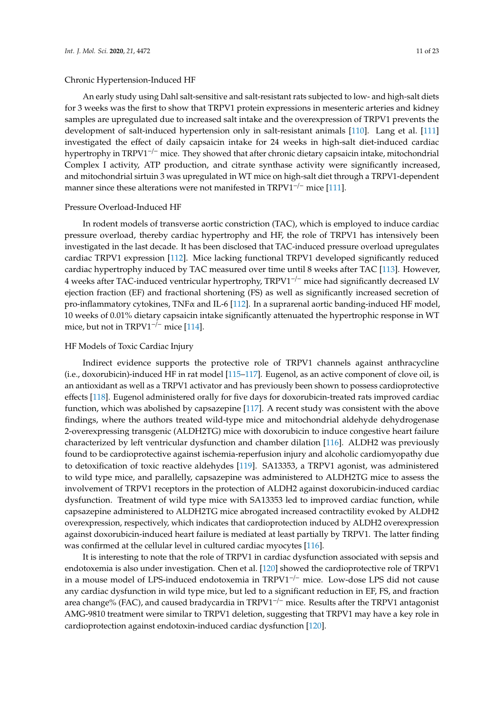An early study using Dahl salt-sensitive and salt-resistant rats subjected to low- and high-salt diets for 3 weeks was the first to show that TRPV1 protein expressions in mesenteric arteries and kidney samples are upregulated due to increased salt intake and the overexpression of TRPV1 prevents the development of salt-induced hypertension only in salt-resistant animals [\[110\]](#page-21-6). Lang et al. [\[111\]](#page-21-7) investigated the effect of daily capsaicin intake for 24 weeks in high-salt diet-induced cardiac hypertrophy in TRPV1−/<sup>−</sup> mice. They showed that after chronic dietary capsaicin intake, mitochondrial Complex I activity, ATP production, and citrate synthase activity were significantly increased, and mitochondrial sirtuin 3 was upregulated in WT mice on high-salt diet through a TRPV1-dependent manner since these alterations were not manifested in TRPV1<sup>-/−</sup> mice [\[111\]](#page-21-7).

#### Pressure Overload-Induced HF

In rodent models of transverse aortic constriction (TAC), which is employed to induce cardiac pressure overload, thereby cardiac hypertrophy and HF, the role of TRPV1 has intensively been investigated in the last decade. It has been disclosed that TAC-induced pressure overload upregulates cardiac TRPV1 expression [\[112\]](#page-21-8). Mice lacking functional TRPV1 developed significantly reduced cardiac hypertrophy induced by TAC measured over time until 8 weeks after TAC [\[113\]](#page-21-9). However, 4 weeks after TAC-induced ventricular hypertrophy, TRPV1−/<sup>−</sup> mice had significantly decreased LV ejection fraction (EF) and fractional shortening (FS) as well as significantly increased secretion of pro-inflammatory cytokines, TNFα and IL-6 [\[112\]](#page-21-8). In a suprarenal aortic banding-induced HF model, 10 weeks of 0.01% dietary capsaicin intake significantly attenuated the hypertrophic response in WT mice, but not in TRPV1<sup>-/-</sup> mice [\[114\]](#page-21-10).

## HF Models of Toxic Cardiac Injury

Indirect evidence supports the protective role of TRPV1 channels against anthracycline (i.e., doxorubicin)-induced HF in rat model [\[115](#page-21-11)[–117\]](#page-21-12). Eugenol, as an active component of clove oil, is an antioxidant as well as a TRPV1 activator and has previously been shown to possess cardioprotective effects [\[118\]](#page-21-13). Eugenol administered orally for five days for doxorubicin-treated rats improved cardiac function, which was abolished by capsazepine [\[117\]](#page-21-12). A recent study was consistent with the above findings, where the authors treated wild-type mice and mitochondrial aldehyde dehydrogenase 2-overexpressing transgenic (ALDH2TG) mice with doxorubicin to induce congestive heart failure characterized by left ventricular dysfunction and chamber dilation [\[116\]](#page-21-14). ALDH2 was previously found to be cardioprotective against ischemia-reperfusion injury and alcoholic cardiomyopathy due to detoxification of toxic reactive aldehydes [\[119\]](#page-21-15). SA13353, a TRPV1 agonist, was administered to wild type mice, and parallelly, capsazepine was administered to ALDH2TG mice to assess the involvement of TRPV1 receptors in the protection of ALDH2 against doxorubicin-induced cardiac dysfunction. Treatment of wild type mice with SA13353 led to improved cardiac function, while capsazepine administered to ALDH2TG mice abrogated increased contractility evoked by ALDH2 overexpression, respectively, which indicates that cardioprotection induced by ALDH2 overexpression against doxorubicin-induced heart failure is mediated at least partially by TRPV1. The latter finding was confirmed at the cellular level in cultured cardiac myocytes [\[116\]](#page-21-14).

It is interesting to note that the role of TRPV1 in cardiac dysfunction associated with sepsis and endotoxemia is also under investigation. Chen et al. [\[120\]](#page-21-16) showed the cardioprotective role of TRPV1 in a mouse model of LPS-induced endotoxemia in TRPV1−/<sup>−</sup> mice. Low-dose LPS did not cause any cardiac dysfunction in wild type mice, but led to a significant reduction in EF, FS, and fraction area change% (FAC), and caused bradycardia in TRPV1−/<sup>−</sup> mice. Results after the TRPV1 antagonist AMG-9810 treatment were similar to TRPV1 deletion, suggesting that TRPV1 may have a key role in cardioprotection against endotoxin-induced cardiac dysfunction [\[120\]](#page-21-16).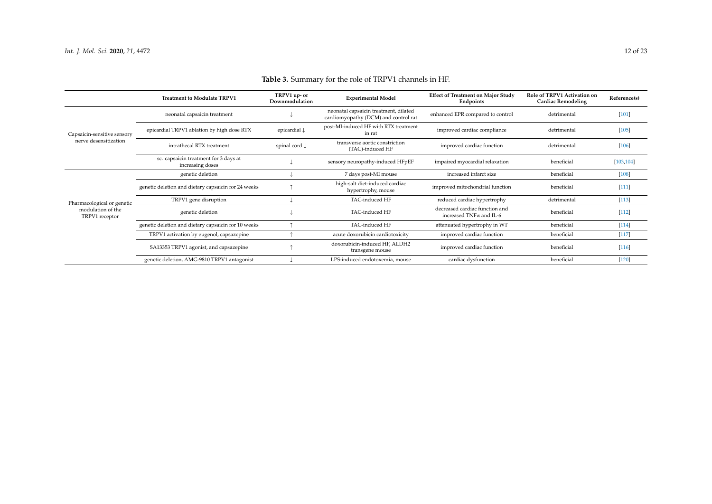<span id="page-11-0"></span>

|                                     | <b>Treatment to Modulate TRPV1</b>                        | TRPV1 up- or<br>Downmodulation | <b>Experimental Model</b>                                                     | <b>Effect of Treatment on Major Study</b><br>Endpoints            | <b>Role of TRPV1 Activation on</b><br><b>Cardiac Remodeling</b> | Reference(s) |
|-------------------------------------|-----------------------------------------------------------|--------------------------------|-------------------------------------------------------------------------------|-------------------------------------------------------------------|-----------------------------------------------------------------|--------------|
|                                     | neonatal capsaicin treatment                              |                                | neonatal capsaicin treatment, dilated<br>cardiomyopathy (DCM) and control rat | enhanced EPR compared to control                                  | detrimental                                                     | [101]        |
| Capsaicin-sensitive sensory         | epicardial TRPV1 ablation by high dose RTX                | epicardial $\downarrow$        | post-MI-induced HF with RTX treatment<br>in rat                               | improved cardiac compliance                                       | detrimental                                                     | $[105]$      |
| nerve desensitization               | intrathecal RTX treatment                                 | spinal cord $\downarrow$       | transverse aortic constriction<br>(TAC)-induced HF                            | improved cardiac function                                         | detrimental                                                     | [106]        |
|                                     | sc. capsaicin treatment for 3 days at<br>increasing doses |                                | sensory neuropathy-induced HFpEF                                              | impaired myocardial relaxation                                    | beneficial                                                      | [103, 104]   |
|                                     | genetic deletion                                          |                                | 7 days post-MI mouse                                                          | increased infarct size                                            | beneficial                                                      | $[108]$      |
|                                     | genetic deletion and dietary capsaicin for 24 weeks       |                                | high-salt diet-induced cardiac<br>hypertrophy, mouse                          | improved mitochondrial function                                   | beneficial                                                      | $[111]$      |
| Pharmacological or genetic          | TRPV1 gene disruption                                     |                                | TAC-induced HF                                                                | reduced cardiac hypertrophy                                       | detrimental                                                     | $[113]$      |
| modulation of the<br>TRPV1 receptor | genetic deletion                                          |                                | TAC-induced HF                                                                | decreased cardiac function and<br>increased TNF $\alpha$ and IL-6 | beneficial                                                      | $[112]$      |
|                                     | genetic deletion and dietary capsaicin for 10 weeks       |                                | TAC-induced HF                                                                | attenuated hypertrophy in WT                                      | beneficial                                                      | $[114]$      |
|                                     | TRPV1 activation by eugenol, capsazepine                  |                                | acute doxorubicin cardiotoxicity                                              | improved cardiac function                                         | beneficial                                                      | $[117]$      |
|                                     | SA13353 TRPV1 agonist, and capsazepine                    |                                | doxorubicin-induced HF, ALDH2<br>transgene mouse                              | improved cardiac function                                         | beneficial                                                      | $[116]$      |
|                                     | genetic deletion, AMG-9810 TRPV1 antagonist               |                                | LPS-induced endotoxemia, mouse                                                | cardiac dysfunction                                               | beneficial                                                      | [120]        |

## **Table 3.** Summary for the role of TRPV1 channels in HF.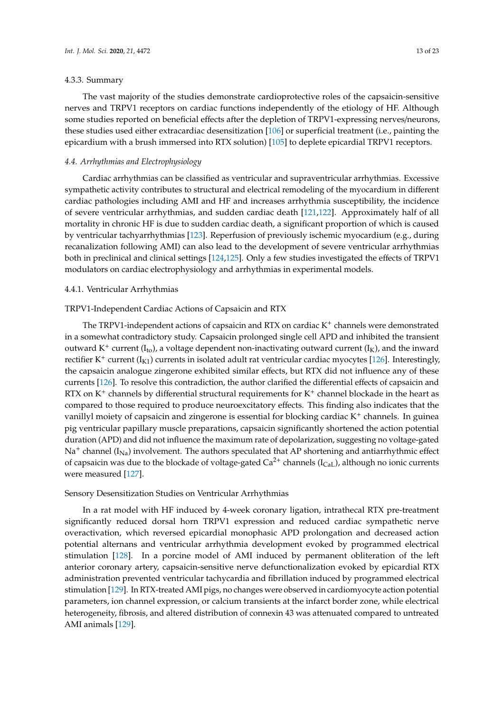#### 4.3.3. Summary

The vast majority of the studies demonstrate cardioprotective roles of the capsaicin-sensitive nerves and TRPV1 receptors on cardiac functions independently of the etiology of HF. Although some studies reported on beneficial effects after the depletion of TRPV1-expressing nerves/neurons, these studies used either extracardiac desensitization [\[106\]](#page-21-2) or superficial treatment (i.e., painting the epicardium with a brush immersed into RTX solution) [\[105\]](#page-21-1) to deplete epicardial TRPV1 receptors.

#### *4.4. Arrhythmias and Electrophysiology*

Cardiac arrhythmias can be classified as ventricular and supraventricular arrhythmias. Excessive sympathetic activity contributes to structural and electrical remodeling of the myocardium in different cardiac pathologies including AMI and HF and increases arrhythmia susceptibility, the incidence of severe ventricular arrhythmias, and sudden cardiac death [\[121,](#page-21-27)[122\]](#page-21-28). Approximately half of all mortality in chronic HF is due to sudden cardiac death, a significant proportion of which is caused by ventricular tachyarrhythmias [\[123\]](#page-21-29). Reperfusion of previously ischemic myocardium (e.g., during recanalization following AMI) can also lead to the development of severe ventricular arrhythmias both in preclinical and clinical settings [\[124,](#page-21-30)[125\]](#page-22-0). Only a few studies investigated the effects of TRPV1 modulators on cardiac electrophysiology and arrhythmias in experimental models.

#### 4.4.1. Ventricular Arrhythmias

## TRPV1-Independent Cardiac Actions of Capsaicin and RTX

The TRPV1-independent actions of capsaicin and RTX on cardiac K<sup>+</sup> channels were demonstrated in a somewhat contradictory study. Capsaicin prolonged single cell APD and inhibited the transient outward K<sup>+</sup> current ( $I_{to}$ ), a voltage dependent non-inactivating outward current ( $I_{K}$ ), and the inward rectifier K<sup>+</sup> current ( $I_{K1}$ ) currents in isolated adult rat ventricular cardiac myocytes [\[126\]](#page-22-1). Interestingly, the capsaicin analogue zingerone exhibited similar effects, but RTX did not influence any of these currents [\[126\]](#page-22-1). To resolve this contradiction, the author clarified the differential effects of capsaicin and RTX on  $K^+$  channels by differential structural requirements for  $K^+$  channel blockade in the heart as compared to those required to produce neuroexcitatory effects. This finding also indicates that the vanillyl moiety of capsaicin and zingerone is essential for blocking cardiac  $K^+$  channels. In guinea pig ventricular papillary muscle preparations, capsaicin significantly shortened the action potential duration (APD) and did not influence the maximum rate of depolarization, suggesting no voltage-gated  $Na<sup>+</sup>$  channel ( $I<sub>Na</sub>$ ) involvement. The authors speculated that AP shortening and antiarrhythmic effect of capsaicin was due to the blockade of voltage-gated  $Ca^{2+}$  channels (I<sub>CaL</sub>), although no ionic currents were measured [\[127\]](#page-22-2).

## Sensory Desensitization Studies on Ventricular Arrhythmias

In a rat model with HF induced by 4-week coronary ligation, intrathecal RTX pre-treatment significantly reduced dorsal horn TRPV1 expression and reduced cardiac sympathetic nerve overactivation, which reversed epicardial monophasic APD prolongation and decreased action potential alternans and ventricular arrhythmia development evoked by programmed electrical stimulation [\[128\]](#page-22-3). In a porcine model of AMI induced by permanent obliteration of the left anterior coronary artery, capsaicin-sensitive nerve defunctionalization evoked by epicardial RTX administration prevented ventricular tachycardia and fibrillation induced by programmed electrical stimulation [\[129\]](#page-22-4). In RTX-treated AMI pigs, no changes were observed in cardiomyocyte action potential parameters, ion channel expression, or calcium transients at the infarct border zone, while electrical heterogeneity, fibrosis, and altered distribution of connexin 43 was attenuated compared to untreated AMI animals [\[129\]](#page-22-4).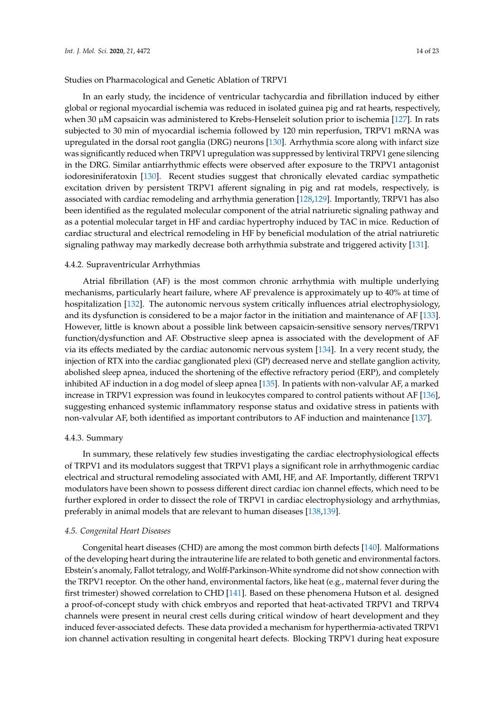## Studies on Pharmacological and Genetic Ablation of TRPV1

In an early study, the incidence of ventricular tachycardia and fibrillation induced by either global or regional myocardial ischemia was reduced in isolated guinea pig and rat hearts, respectively, when 30 µM capsaicin was administered to Krebs-Henseleit solution prior to ischemia [\[127\]](#page-22-2). In rats subjected to 30 min of myocardial ischemia followed by 120 min reperfusion, TRPV1 mRNA was upregulated in the dorsal root ganglia (DRG) neurons [\[130\]](#page-22-5). Arrhythmia score along with infarct size was significantly reduced when TRPV1 upregulation was suppressed by lentiviral TRPV1 gene silencing in the DRG. Similar antiarrhythmic effects were observed after exposure to the TRPV1 antagonist iodoresiniferatoxin [\[130\]](#page-22-5). Recent studies suggest that chronically elevated cardiac sympathetic excitation driven by persistent TRPV1 afferent signaling in pig and rat models, respectively, is associated with cardiac remodeling and arrhythmia generation [\[128](#page-22-3)[,129\]](#page-22-4). Importantly, TRPV1 has also been identified as the regulated molecular component of the atrial natriuretic signaling pathway and as a potential molecular target in HF and cardiac hypertrophy induced by TAC in mice. Reduction of cardiac structural and electrical remodeling in HF by beneficial modulation of the atrial natriuretic signaling pathway may markedly decrease both arrhythmia substrate and triggered activity [\[131\]](#page-22-6).

#### 4.4.2. Supraventricular Arrhythmias

Atrial fibrillation (AF) is the most common chronic arrhythmia with multiple underlying mechanisms, particularly heart failure, where AF prevalence is approximately up to 40% at time of hospitalization [\[132\]](#page-22-7). The autonomic nervous system critically influences atrial electrophysiology, and its dysfunction is considered to be a major factor in the initiation and maintenance of AF [\[133\]](#page-22-8). However, little is known about a possible link between capsaicin-sensitive sensory nerves/TRPV1 function/dysfunction and AF. Obstructive sleep apnea is associated with the development of AF via its effects mediated by the cardiac autonomic nervous system [\[134\]](#page-22-9). In a very recent study, the injection of RTX into the cardiac ganglionated plexi (GP) decreased nerve and stellate ganglion activity, abolished sleep apnea, induced the shortening of the effective refractory period (ERP), and completely inhibited AF induction in a dog model of sleep apnea [\[135\]](#page-22-10). In patients with non-valvular AF, a marked increase in TRPV1 expression was found in leukocytes compared to control patients without AF [\[136\]](#page-22-11), suggesting enhanced systemic inflammatory response status and oxidative stress in patients with non-valvular AF, both identified as important contributors to AF induction and maintenance [\[137\]](#page-22-12).

#### 4.4.3. Summary

In summary, these relatively few studies investigating the cardiac electrophysiological effects of TRPV1 and its modulators suggest that TRPV1 plays a significant role in arrhythmogenic cardiac electrical and structural remodeling associated with AMI, HF, and AF. Importantly, different TRPV1 modulators have been shown to possess different direct cardiac ion channel effects, which need to be further explored in order to dissect the role of TRPV1 in cardiac electrophysiology and arrhythmias, preferably in animal models that are relevant to human diseases [\[138,](#page-22-13)[139\]](#page-22-14).

#### *4.5. Congenital Heart Diseases*

Congenital heart diseases (CHD) are among the most common birth defects [\[140\]](#page-22-15). Malformations of the developing heart during the intrauterine life are related to both genetic and environmental factors. Ebstein's anomaly, Fallot tetralogy, and Wolff-Parkinson-White syndrome did not show connection with the TRPV1 receptor. On the other hand, environmental factors, like heat (e.g., maternal fever during the first trimester) showed correlation to CHD [\[141\]](#page-22-16). Based on these phenomena Hutson et al. designed a proof-of-concept study with chick embryos and reported that heat-activated TRPV1 and TRPV4 channels were present in neural crest cells during critical window of heart development and they induced fever-associated defects. These data provided a mechanism for hyperthermia-activated TRPV1 ion channel activation resulting in congenital heart defects. Blocking TRPV1 during heat exposure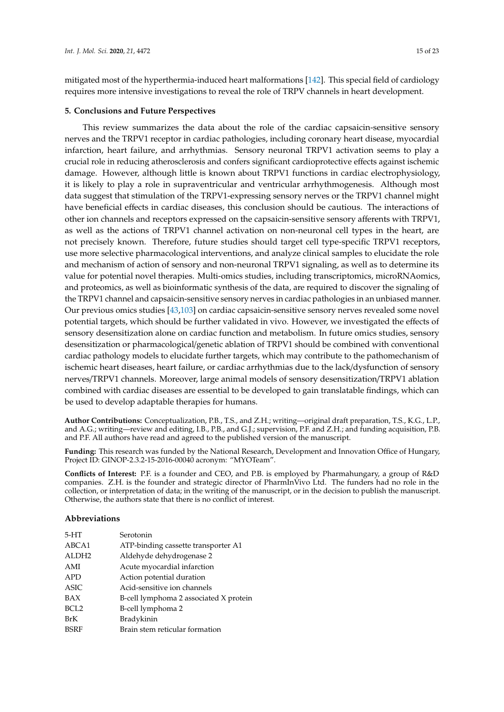mitigated most of the hyperthermia-induced heart malformations [\[142\]](#page-22-17). This special field of cardiology requires more intensive investigations to reveal the role of TRPV channels in heart development.

## **5. Conclusions and Future Perspectives**

This review summarizes the data about the role of the cardiac capsaicin-sensitive sensory nerves and the TRPV1 receptor in cardiac pathologies, including coronary heart disease, myocardial infarction, heart failure, and arrhythmias. Sensory neuronal TRPV1 activation seems to play a crucial role in reducing atherosclerosis and confers significant cardioprotective effects against ischemic damage. However, although little is known about TRPV1 functions in cardiac electrophysiology, it is likely to play a role in supraventricular and ventricular arrhythmogenesis. Although most data suggest that stimulation of the TRPV1-expressing sensory nerves or the TRPV1 channel might have beneficial effects in cardiac diseases, this conclusion should be cautious. The interactions of other ion channels and receptors expressed on the capsaicin-sensitive sensory afferents with TRPV1, as well as the actions of TRPV1 channel activation on non-neuronal cell types in the heart, are not precisely known. Therefore, future studies should target cell type-specific TRPV1 receptors, use more selective pharmacological interventions, and analyze clinical samples to elucidate the role and mechanism of action of sensory and non-neuronal TRPV1 signaling, as well as to determine its value for potential novel therapies. Multi-omics studies, including transcriptomics, microRNAomics, and proteomics, as well as bioinformatic synthesis of the data, are required to discover the signaling of the TRPV1 channel and capsaicin-sensitive sensory nerves in cardiac pathologies in an unbiased manner. Our previous omics studies [\[43,](#page-17-13)[103\]](#page-20-15) on cardiac capsaicin-sensitive sensory nerves revealed some novel potential targets, which should be further validated in vivo. However, we investigated the effects of sensory desensitization alone on cardiac function and metabolism. In future omics studies, sensory desensitization or pharmacological/genetic ablation of TRPV1 should be combined with conventional cardiac pathology models to elucidate further targets, which may contribute to the pathomechanism of ischemic heart diseases, heart failure, or cardiac arrhythmias due to the lack/dysfunction of sensory nerves/TRPV1 channels. Moreover, large animal models of sensory desensitization/TRPV1 ablation combined with cardiac diseases are essential to be developed to gain translatable findings, which can be used to develop adaptable therapies for humans.

**Author Contributions:** Conceptualization, P.B., T.S., and Z.H.; writing—original draft preparation, T.S., K.G., L.P., and A.G.; writing—review and editing, I.B., P.B., and G.J.; supervision, P.F. and Z.H.; and funding acquisition, P.B. and P.F. All authors have read and agreed to the published version of the manuscript.

**Funding:** This research was funded by the National Research, Development and Innovation Office of Hungary, Project ID: GINOP-2.3.2-15-2016-00040 acronym: "MYOTeam".

**Conflicts of Interest:** P.F. is a founder and CEO, and P.B. is employed by Pharmahungary, a group of R&D companies. Z.H. is the founder and strategic director of PharmInVivo Ltd. The funders had no role in the collection, or interpretation of data; in the writing of the manuscript, or in the decision to publish the manuscript. Otherwise, the authors state that there is no conflict of interest.

## **Abbreviations**

| $5-HT$            | Serotonin                              |
|-------------------|----------------------------------------|
| ABCA1             | ATP-binding cassette transporter A1    |
| ALDH <sub>2</sub> | Aldehyde dehydrogenase 2               |
| AMI               | Acute myocardial infarction            |
| <b>APD</b>        | Action potential duration              |
| ASIC              | Acid-sensitive ion channels            |
| BAX               | B-cell lymphoma 2 associated X protein |
| BCL <sub>2</sub>  | B-cell lymphoma 2                      |
| BrK               | Bradykinin                             |
| <b>BSRF</b>       | Brain stem reticular formation         |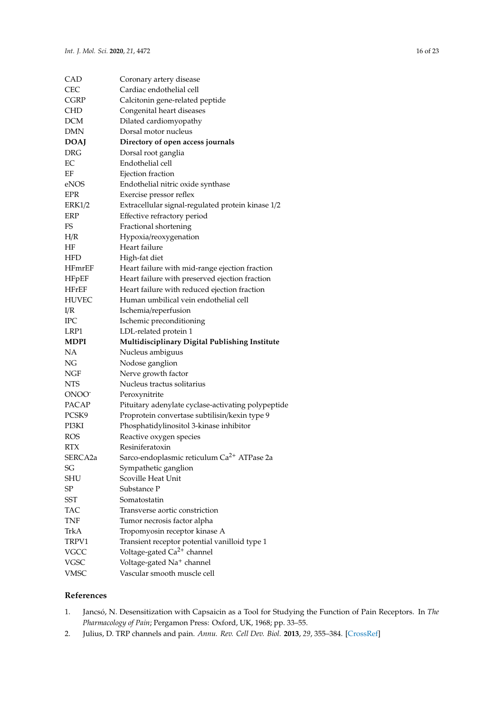| CAD               | Coronary artery disease                                |
|-------------------|--------------------------------------------------------|
| <b>CEC</b>        | Cardiac endothelial cell                               |
| <b>CGRP</b>       | Calcitonin gene-related peptide                        |
| CHD               | Congenital heart diseases                              |
| DCM               | Dilated cardiomyopathy                                 |
| DMN               | Dorsal motor nucleus                                   |
| <b>DOAJ</b>       | Directory of open access journals                      |
| <b>DRG</b>        | Dorsal root ganglia                                    |
| EC                | Endothelial cell                                       |
| ΕF                | Ejection fraction                                      |
| eNOS              | Endothelial nitric oxide synthase                      |
| EPR               | Exercise pressor reflex                                |
| <b>ERK1/2</b>     | Extracellular signal-regulated protein kinase 1/2      |
| <b>ERP</b>        | Effective refractory period                            |
| FS                | Fractional shortening                                  |
| H/R               | Hypoxia/reoxygenation                                  |
| ΗF                | Heart failure                                          |
| HFD               | High-fat diet                                          |
| <b>HFmrEF</b>     | Heart failure with mid-range ejection fraction         |
| <b>HFpEF</b>      | Heart failure with preserved ejection fraction         |
| HFrEF             | Heart failure with reduced ejection fraction           |
| <b>HUVEC</b>      | Human umbilical vein endothelial cell                  |
| I/R               | Ischemia/reperfusion                                   |
| IРC               | Ischemic preconditioning                               |
|                   |                                                        |
| LRP1              | LDL-related protein 1                                  |
| <b>MDPI</b>       | Multidisciplinary Digital Publishing Institute         |
| NΑ                | Nucleus ambiguus                                       |
| ΝG                | Nodose ganglion                                        |
| NGF               | Nerve growth factor                                    |
| <b>NTS</b>        | Nucleus tractus solitarius                             |
| ONOO <sup>-</sup> | Peroxynitrite                                          |
| PACAP             | Pituitary adenylate cyclase-activating polypeptide     |
| PCSK9             | Proprotein convertase subtilisin/kexin type 9          |
| PI3KI             | Phosphatidylinositol 3-kinase inhibitor                |
| <b>ROS</b>        | Reactive oxygen species                                |
| <b>RTX</b>        | Resiniferatoxin                                        |
| SERCA2a           | Sarco-endoplasmic reticulum Ca <sup>2+</sup> ATPase 2a |
| SG                | Sympathetic ganglion                                   |
| SHU               | Scoville Heat Unit                                     |
| SP                | Substance P                                            |
| SST               | Somatostatin                                           |
| <b>TAC</b>        | Transverse aortic constriction                         |
| <b>TNF</b>        | Tumor necrosis factor alpha                            |
| TrkA              | Tropomyosin receptor kinase A                          |
| TRPV1             | Transient receptor potential vanilloid type 1          |
| VGCC              | Voltage-gated Ca <sup>2+</sup> channel                 |
| VGSC              | Voltage-gated Na <sup>+</sup> channel                  |

## **References**

- <span id="page-15-0"></span>1. Jancsó, N. Desensitization with Capsaicin as a Tool for Studying the Function of Pain Receptors. In *The Pharmacology of Pain*; Pergamon Press: Oxford, UK, 1968; pp. 33–55.
- <span id="page-15-1"></span>2. Julius, D. TRP channels and pain. *Annu. Rev. Cell Dev. Biol.* **2013**, *29*, 355–384. [\[CrossRef\]](http://dx.doi.org/10.1146/annurev-cellbio-101011-155833)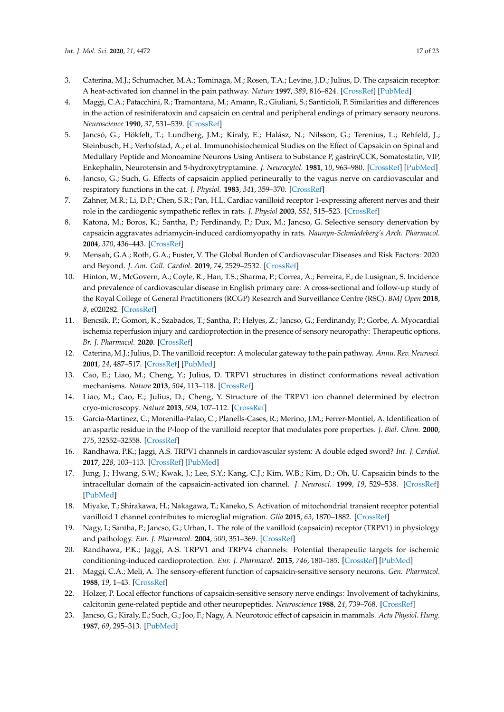- <span id="page-16-0"></span>3. Caterina, M.J.; Schumacher, M.A.; Tominaga, M.; Rosen, T.A.; Levine, J.D.; Julius, D. The capsaicin receptor: A heat-activated ion channel in the pain pathway. *Nature* **1997**, *389*, 816–824. [\[CrossRef\]](http://dx.doi.org/10.1038/39807) [\[PubMed\]](http://www.ncbi.nlm.nih.gov/pubmed/9349813)
- <span id="page-16-1"></span>4. Maggi, C.A.; Patacchini, R.; Tramontana, M.; Amann, R.; Giuliani, S.; Santicioli, P. Similarities and differences in the action of resiniferatoxin and capsaicin on central and peripheral endings of primary sensory neurons. *Neuroscience* **1990**, *37*, 531–539. [\[CrossRef\]](http://dx.doi.org/10.1016/0306-4522(90)90421-Y)
- <span id="page-16-2"></span>5. Jancsó, G.; Hökfelt, T.; Lundberg, J.M.; Kiraly, E.; Halász, N.; Nilsson, G.; Terenius, L.; Rehfeld, J.; Steinbusch, H.; Verhofstad, A.; et al. Immunohistochemical Studies on the Effect of Capsaicin on Spinal and Medullary Peptide and Monoamine Neurons Using Antisera to Substance P, gastrin/CCK, Somatostatin, VIP, Enkephalin, Neurotensin and 5-hydroxytryptamine. *J. Neurocytol.* **1981**, *10*, 963–980. [\[CrossRef\]](http://dx.doi.org/10.1007/BF01258524) [\[PubMed\]](http://www.ncbi.nlm.nih.gov/pubmed/6171625)
- <span id="page-16-3"></span>6. Jancso, G.; Such, G. Effects of capsaicin applied perineurally to the vagus nerve on cardiovascular and respiratory functions in the cat. *J. Physiol.* **1983**, *341*, 359–370. [\[CrossRef\]](http://dx.doi.org/10.1113/jphysiol.1983.sp014810)
- 7. Zahner, M.R.; Li, D.P.; Chen, S.R.; Pan, H.L. Cardiac vanilloid receptor 1-expressing afferent nerves and their role in the cardiogenic sympathetic reflex in rats. *J. Physiol* **2003**, *551*, 515–523. [\[CrossRef\]](http://dx.doi.org/10.1113/jphysiol.2003.048207)
- <span id="page-16-4"></span>8. Katona, M.; Boros, K.; Santha, P.; Ferdinandy, P.; Dux, M.; Jancso, G. Selective sensory denervation by capsaicin aggravates adriamycin-induced cardiomyopathy in rats. *Naunyn-Schmiedeberg's Arch. Pharmacol.* **2004**, *370*, 436–443. [\[CrossRef\]](http://dx.doi.org/10.1007/s00210-004-0985-7)
- <span id="page-16-5"></span>9. Mensah, G.A.; Roth, G.A.; Fuster, V. The Global Burden of Cardiovascular Diseases and Risk Factors: 2020 and Beyond. *J. Am. Coll. Cardiol.* **2019**, *74*, 2529–2532. [\[CrossRef\]](http://dx.doi.org/10.1016/j.jacc.2019.10.009)
- <span id="page-16-6"></span>10. Hinton, W.; McGovern, A.; Coyle, R.; Han, T.S.; Sharma, P.; Correa, A.; Ferreira, F.; de Lusignan, S. Incidence and prevalence of cardiovascular disease in English primary care: A cross-sectional and follow-up study of the Royal College of General Practitioners (RCGP) Research and Surveillance Centre (RSC). *BMJ Open* **2018**, *8*, e020282. [\[CrossRef\]](http://dx.doi.org/10.1136/bmjopen-2017-020282)
- <span id="page-16-7"></span>11. Bencsik, P.; Gomori, K.; Szabados, T.; Santha, P.; Helyes, Z.; Jancso, G.; Ferdinandy, P.; Gorbe, A. Myocardial ischemia reperfusion injury and cardioprotection in the presence of sensory neuropathy: Therapeutic options. *Br. J. Pharmacol.* **2020**. [\[CrossRef\]](http://dx.doi.org/10.1111/bph.15021)
- <span id="page-16-8"></span>12. Caterina, M.J.; Julius, D. The vanilloid receptor: A molecular gateway to the pain pathway. *Annu. Rev. Neurosci.* **2001**, *24*, 487–517. [\[CrossRef\]](http://dx.doi.org/10.1146/annurev.neuro.24.1.487) [\[PubMed\]](http://www.ncbi.nlm.nih.gov/pubmed/11283319)
- <span id="page-16-9"></span>13. Cao, E.; Liao, M.; Cheng, Y.; Julius, D. TRPV1 structures in distinct conformations reveal activation mechanisms. *Nature* **2013**, *504*, 113–118. [\[CrossRef\]](http://dx.doi.org/10.1038/nature12823)
- <span id="page-16-10"></span>14. Liao, M.; Cao, E.; Julius, D.; Cheng, Y. Structure of the TRPV1 ion channel determined by electron cryo-microscopy. *Nature* **2013**, *504*, 107–112. [\[CrossRef\]](http://dx.doi.org/10.1038/nature12822)
- <span id="page-16-11"></span>15. Garcia-Martinez, C.; Morenilla-Palao, C.; Planells-Cases, R.; Merino, J.M.; Ferrer-Montiel, A. Identification of an aspartic residue in the P-loop of the vanilloid receptor that modulates pore properties. *J. Biol. Chem.* **2000**, *275*, 32552–32558. [\[CrossRef\]](http://dx.doi.org/10.1074/jbc.M002391200)
- <span id="page-16-12"></span>16. Randhawa, P.K.; Jaggi, A.S. TRPV1 channels in cardiovascular system: A double edged sword? *Int. J. Cardiol.* **2017**, *228*, 103–113. [\[CrossRef\]](http://dx.doi.org/10.1016/j.ijcard.2016.11.205) [\[PubMed\]](http://www.ncbi.nlm.nih.gov/pubmed/27863349)
- <span id="page-16-13"></span>17. Jung, J.; Hwang, S.W.; Kwak, J.; Lee, S.Y.; Kang, C.J.; Kim, W.B.; Kim, D.; Oh, U. Capsaicin binds to the intracellular domain of the capsaicin-activated ion channel. *J. Neurosci.* **1999**, *19*, 529–538. [\[CrossRef\]](http://dx.doi.org/10.1523/JNEUROSCI.19-02-00529.1999) [\[PubMed\]](http://www.ncbi.nlm.nih.gov/pubmed/9880573)
- <span id="page-16-14"></span>18. Miyake, T.; Shirakawa, H.; Nakagawa, T.; Kaneko, S. Activation of mitochondrial transient receptor potential vanilloid 1 channel contributes to microglial migration. *Glia* **2015**, *63*, 1870–1882. [\[CrossRef\]](http://dx.doi.org/10.1002/glia.22854)
- <span id="page-16-15"></span>19. Nagy, I.; Santha, P.; Jancso, G.; Urban, L. The role of the vanilloid (capsaicin) receptor (TRPV1) in physiology and pathology. *Eur. J. Pharmacol.* **2004**, *500*, 351–369. [\[CrossRef\]](http://dx.doi.org/10.1016/j.ejphar.2004.07.037)
- <span id="page-16-16"></span>20. Randhawa, P.K.; Jaggi, A.S. TRPV1 and TRPV4 channels: Potential therapeutic targets for ischemic conditioning-induced cardioprotection. *Eur. J. Pharmacol.* **2015**, *746*, 180–185. [\[CrossRef\]](http://dx.doi.org/10.1016/j.ejphar.2014.11.010) [\[PubMed\]](http://www.ncbi.nlm.nih.gov/pubmed/25449039)
- <span id="page-16-17"></span>21. Maggi, C.A.; Meli, A. The sensory-efferent function of capsaicin-sensitive sensory neurons. *Gen. Pharmacol.* **1988**, *19*, 1–43. [\[CrossRef\]](http://dx.doi.org/10.1016/0306-3623(88)90002-X)
- <span id="page-16-18"></span>22. Holzer, P. Local effector functions of capsaicin-sensitive sensory nerve endings: Involvement of tachykinins, calcitonin gene-related peptide and other neuropeptides. *Neuroscience* **1988**, *24*, 739–768. [\[CrossRef\]](http://dx.doi.org/10.1016/0306-4522(88)90064-4)
- <span id="page-16-19"></span>23. Jancso, G.; Kiraly, E.; Such, G.; Joo, F.; Nagy, A. Neurotoxic effect of capsaicin in mammals. *Acta Physiol. Hung.* **1987**, *69*, 295–313. [\[PubMed\]](http://www.ncbi.nlm.nih.gov/pubmed/3310520)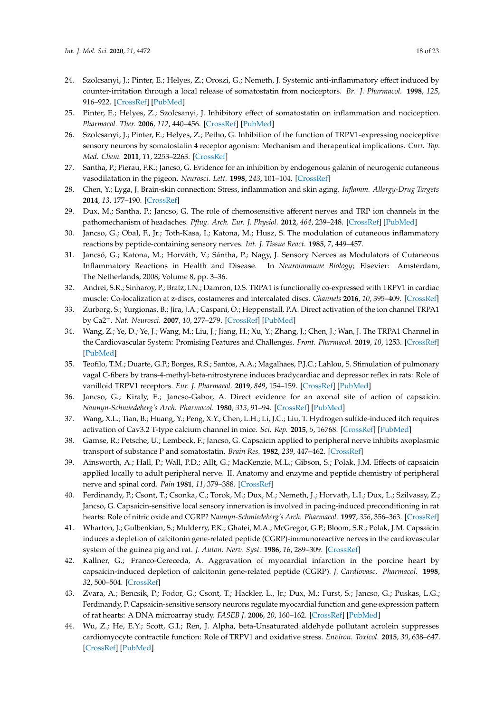- 24. Szolcsanyi, J.; Pinter, E.; Helyes, Z.; Oroszi, G.; Nemeth, J. Systemic anti-inflammatory effect induced by counter-irritation through a local release of somatostatin from nociceptors. *Br. J. Pharmacol.* **1998**, *125*, 916–922. [\[CrossRef\]](http://dx.doi.org/10.1038/sj.bjp.0702144) [\[PubMed\]](http://www.ncbi.nlm.nih.gov/pubmed/9831933)
- 25. Pinter, E.; Helyes, Z.; Szolcsanyi, J. Inhibitory effect of somatostatin on inflammation and nociception. *Pharmacol. Ther.* **2006**, *112*, 440–456. [\[CrossRef\]](http://dx.doi.org/10.1016/j.pharmthera.2006.04.010) [\[PubMed\]](http://www.ncbi.nlm.nih.gov/pubmed/16764934)
- 26. Szolcsanyi, J.; Pinter, E.; Helyes, Z.; Petho, G. Inhibition of the function of TRPV1-expressing nociceptive sensory neurons by somatostatin 4 receptor agonism: Mechanism and therapeutical implications. *Curr. Top. Med. Chem.* **2011**, *11*, 2253–2263. [\[CrossRef\]](http://dx.doi.org/10.2174/156802611796904852)
- <span id="page-17-0"></span>27. Santha, P.; Pierau, F.K.; Jancso, G. Evidence for an inhibition by endogenous galanin of neurogenic cutaneous vasodilatation in the pigeon. *Neurosci. Lett.* **1998**, *243*, 101–104. [\[CrossRef\]](http://dx.doi.org/10.1016/S0304-3940(98)00098-6)
- <span id="page-17-1"></span>28. Chen, Y.; Lyga, J. Brain-skin connection: Stress, inflammation and skin aging. *Inflamm. Allergy-Drug Targets* **2014**, *13*, 177–190. [\[CrossRef\]](http://dx.doi.org/10.2174/1871528113666140522104422)
- 29. Dux, M.; Santha, P.; Jancso, G. The role of chemosensitive afferent nerves and TRP ion channels in the pathomechanism of headaches. *Pflug. Arch. Eur. J. Physiol.* **2012**, *464*, 239–248. [\[CrossRef\]](http://dx.doi.org/10.1007/s00424-012-1142-7) [\[PubMed\]](http://www.ncbi.nlm.nih.gov/pubmed/22875278)
- 30. Jancso, G.; Obal, F., Jr.; Toth-Kasa, I.; Katona, M.; Husz, S. The modulation of cutaneous inflammatory reactions by peptide-containing sensory nerves. *Int. J. Tissue React.* **1985**, *7*, 449–457.
- <span id="page-17-2"></span>31. Jancsó, G.; Katona, M.; Horváth, V.; Sántha, P.; Nagy, J. Sensory Nerves as Modulators of Cutaneous Inflammatory Reactions in Health and Disease. In *Neuroimmune Biology*; Elsevier: Amsterdam, The Netherlands, 2008; Volume 8, pp. 3–36.
- <span id="page-17-3"></span>32. Andrei, S.R.; Sinharoy, P.; Bratz, I.N.; Damron, D.S. TRPA1 is functionally co-expressed with TRPV1 in cardiac muscle: Co-localization at z-discs, costameres and intercalated discs. *Channels* **2016**, *10*, 395–409. [\[CrossRef\]](http://dx.doi.org/10.1080/19336950.2016.1185579)
- <span id="page-17-4"></span>33. Zurborg, S.; Yurgionas, B.; Jira, J.A.; Caspani, O.; Heppenstall, P.A. Direct activation of the ion channel TRPA1 by Ca2+. *Nat. Neurosci.* **2007**, *10*, 277–279. [\[CrossRef\]](http://dx.doi.org/10.1038/nn1843) [\[PubMed\]](http://www.ncbi.nlm.nih.gov/pubmed/17259981)
- <span id="page-17-5"></span>34. Wang, Z.; Ye, D.; Ye, J.; Wang, M.; Liu, J.; Jiang, H.; Xu, Y.; Zhang, J.; Chen, J.; Wan, J. The TRPA1 Channel in the Cardiovascular System: Promising Features and Challenges. *Front. Pharmacol.* **2019**, *10*, 1253. [\[CrossRef\]](http://dx.doi.org/10.3389/fphar.2019.01253) [\[PubMed\]](http://www.ncbi.nlm.nih.gov/pubmed/31680989)
- <span id="page-17-6"></span>35. Teofilo, T.M.; Duarte, G.P.; Borges, R.S.; Santos, A.A.; Magalhaes, P.J.C.; Lahlou, S. Stimulation of pulmonary vagal C-fibers by trans-4-methyl-beta-nitrostyrene induces bradycardiac and depressor reflex in rats: Role of vanilloid TRPV1 receptors. *Eur. J. Pharmacol.* **2019**, *849*, 154–159. [\[CrossRef\]](http://dx.doi.org/10.1016/j.ejphar.2019.01.063) [\[PubMed\]](http://www.ncbi.nlm.nih.gov/pubmed/30716310)
- <span id="page-17-7"></span>36. Jancso, G.; Kiraly, E.; Jancso-Gabor, A. Direct evidence for an axonal site of action of capsaicin. *Naunyn-Schmiedeberg's Arch. Pharmacol.* **1980**, *313*, 91–94. [\[CrossRef\]](http://dx.doi.org/10.1007/BF00505809) [\[PubMed\]](http://www.ncbi.nlm.nih.gov/pubmed/7207640)
- <span id="page-17-8"></span>37. Wang, X.L.; Tian, B.; Huang, Y.; Peng, X.Y.; Chen, L.H.; Li, J.C.; Liu, T. Hydrogen sulfide-induced itch requires activation of Cav3.2 T-type calcium channel in mice. *Sci. Rep.* **2015**, *5*, 16768. [\[CrossRef\]](http://dx.doi.org/10.1038/srep16768) [\[PubMed\]](http://www.ncbi.nlm.nih.gov/pubmed/26602811)
- <span id="page-17-9"></span>38. Gamse, R.; Petsche, U.; Lembeck, F.; Jancso, G. Capsaicin applied to peripheral nerve inhibits axoplasmic transport of substance P and somatostatin. *Brain Res.* **1982**, *239*, 447–462. [\[CrossRef\]](http://dx.doi.org/10.1016/0006-8993(82)90521-2)
- <span id="page-17-10"></span>39. Ainsworth, A.; Hall, P.; Wall, P.D.; Allt, G.; MacKenzie, M.L.; Gibson, S.; Polak, J.M. Effects of capsaicin applied locally to adult peripheral nerve. II. Anatomy and enzyme and peptide chemistry of peripheral nerve and spinal cord. *Pain* **1981**, *11*, 379–388. [\[CrossRef\]](http://dx.doi.org/10.1016/0304-3959(81)90637-0)
- <span id="page-17-11"></span>40. Ferdinandy, P.; Csont, T.; Csonka, C.; Torok, M.; Dux, M.; Nemeth, J.; Horvath, L.I.; Dux, L.; Szilvassy, Z.; Jancso, G. Capsaicin-sensitive local sensory innervation is involved in pacing-induced preconditioning in rat hearts: Role of nitric oxide and CGRP? *Naunyn-Schmiedeberg's Arch. Pharmacol.* **1997**, *356*, 356–363. [\[CrossRef\]](http://dx.doi.org/10.1007/PL00005062)
- 41. Wharton, J.; Gulbenkian, S.; Mulderry, P.K.; Ghatei, M.A.; McGregor, G.P.; Bloom, S.R.; Polak, J.M. Capsaicin induces a depletion of calcitonin gene-related peptide (CGRP)-immunoreactive nerves in the cardiovascular system of the guinea pig and rat. *J. Auton. Nerv. Syst.* **1986**, *16*, 289–309. [\[CrossRef\]](http://dx.doi.org/10.1016/0165-1838(86)90035-4)
- <span id="page-17-12"></span>42. Kallner, G.; Franco-Cereceda, A. Aggravation of myocardial infarction in the porcine heart by capsaicin-induced depletion of calcitonin gene-related peptide (CGRP). *J. Cardiovasc. Pharmacol.* **1998**, *32*, 500–504. [\[CrossRef\]](http://dx.doi.org/10.1097/00005344-199809000-00023)
- <span id="page-17-13"></span>43. Zvara, A.; Bencsik, P.; Fodor, G.; Csont, T.; Hackler, L., Jr.; Dux, M.; Furst, S.; Jancso, G.; Puskas, L.G.; Ferdinandy, P. Capsaicin-sensitive sensory neurons regulate myocardial function and gene expression pattern of rat hearts: A DNA microarray study. *FASEB J.* **2006**, *20*, 160–162. [\[CrossRef\]](http://dx.doi.org/10.1096/fj.05-4060fje) [\[PubMed\]](http://www.ncbi.nlm.nih.gov/pubmed/16278290)
- <span id="page-17-14"></span>44. Wu, Z.; He, E.Y.; Scott, G.I.; Ren, J. Alpha, beta-Unsaturated aldehyde pollutant acrolein suppresses cardiomyocyte contractile function: Role of TRPV1 and oxidative stress. *Environ. Toxicol.* **2015**, *30*, 638–647. [\[CrossRef\]](http://dx.doi.org/10.1002/tox.21941) [\[PubMed\]](http://www.ncbi.nlm.nih.gov/pubmed/24376112)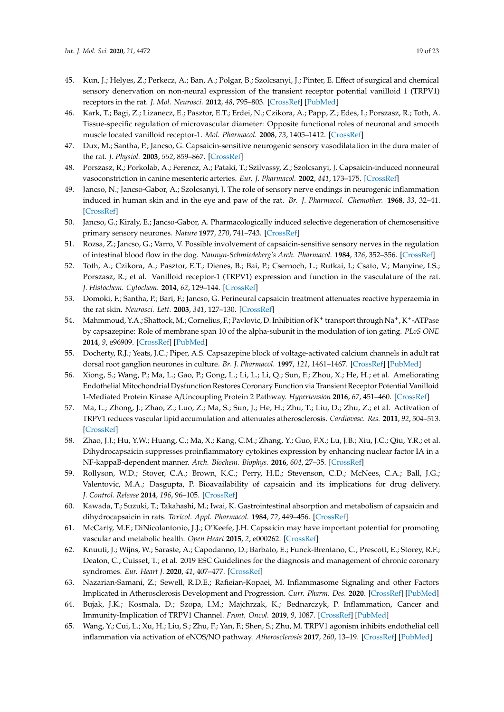- <span id="page-18-0"></span>45. Kun, J.; Helyes, Z.; Perkecz, A.; Ban, A.; Polgar, B.; Szolcsanyi, J.; Pinter, E. Effect of surgical and chemical sensory denervation on non-neural expression of the transient receptor potential vanilloid 1 (TRPV1) receptors in the rat. *J. Mol. Neurosci.* **2012**, *48*, 795–803. [\[CrossRef\]](http://dx.doi.org/10.1007/s12031-012-9766-9) [\[PubMed\]](http://www.ncbi.nlm.nih.gov/pubmed/22528458)
- <span id="page-18-1"></span>46. Kark, T.; Bagi, Z.; Lizanecz, E.; Pasztor, E.T.; Erdei, N.; Czikora, A.; Papp, Z.; Edes, I.; Porszasz, R.; Toth, A. Tissue-specific regulation of microvascular diameter: Opposite functional roles of neuronal and smooth muscle located vanilloid receptor-1. *Mol. Pharmacol.* **2008**, *73*, 1405–1412. [\[CrossRef\]](http://dx.doi.org/10.1124/mol.107.043323)
- <span id="page-18-3"></span>47. Dux, M.; Santha, P.; Jancso, G. Capsaicin-sensitive neurogenic sensory vasodilatation in the dura mater of the rat. *J. Physiol.* **2003**, *552*, 859–867. [\[CrossRef\]](http://dx.doi.org/10.1113/jphysiol.2003.050633)
- <span id="page-18-2"></span>48. Porszasz, R.; Porkolab, A.; Ferencz, A.; Pataki, T.; Szilvassy, Z.; Szolcsanyi, J. Capsaicin-induced nonneural vasoconstriction in canine mesenteric arteries. *Eur. J. Pharmacol.* **2002**, *441*, 173–175. [\[CrossRef\]](http://dx.doi.org/10.1016/S0014-2999(01)01596-5)
- <span id="page-18-4"></span>49. Jancso, N.; Jancso-Gabor, A.; Szolcsanyi, J. The role of sensory nerve endings in neurogenic inflammation induced in human skin and in the eye and paw of the rat. *Br. J. Pharmacol. Chemother.* **1968**, *33*, 32–41. [\[CrossRef\]](http://dx.doi.org/10.1111/j.1476-5381.1968.tb00471.x)
- <span id="page-18-19"></span>50. Jancso, G.; Kiraly, E.; Jancso-Gabor, A. Pharmacologically induced selective degeneration of chemosensitive primary sensory neurones. *Nature* **1977**, *270*, 741–743. [\[CrossRef\]](http://dx.doi.org/10.1038/270741a0)
- 51. Rozsa, Z.; Jancso, G.; Varro, V. Possible involvement of capsaicin-sensitive sensory nerves in the regulation of intestinal blood flow in the dog. *Naunyn-Schmiedeberg's Arch. Pharmacol.* **1984**, *326*, 352–356. [\[CrossRef\]](http://dx.doi.org/10.1007/BF00501442)
- <span id="page-18-16"></span>52. Toth, A.; Czikora, A.; Pasztor, E.T.; Dienes, B.; Bai, P.; Csernoch, L.; Rutkai, I.; Csato, V.; Manyine, I.S.; Porszasz, R.; et al. Vanilloid receptor-1 (TRPV1) expression and function in the vasculature of the rat. *J. Histochem. Cytochem.* **2014**, *62*, 129–144. [\[CrossRef\]](http://dx.doi.org/10.1369/0022155413513589)
- <span id="page-18-5"></span>53. Domoki, F.; Santha, P.; Bari, F.; Jancso, G. Perineural capsaicin treatment attenuates reactive hyperaemia in the rat skin. *Neurosci. Lett.* **2003**, *341*, 127–130. [\[CrossRef\]](http://dx.doi.org/10.1016/S0304-3940(03)00191-5)
- <span id="page-18-6"></span>54. Mahmmoud, Y.A.; Shattock, M.; Cornelius, F.; Pavlovic, D. Inhibition of K<sup>+</sup> transport through Na+, K+-ATPase by capsazepine: Role of membrane span 10 of the alpha-subunit in the modulation of ion gating. *PLoS ONE* **2014**, *9*, e96909. [\[CrossRef\]](http://dx.doi.org/10.1371/journal.pone.0096909) [\[PubMed\]](http://www.ncbi.nlm.nih.gov/pubmed/24816799)
- <span id="page-18-7"></span>55. Docherty, R.J.; Yeats, J.C.; Piper, A.S. Capsazepine block of voltage-activated calcium channels in adult rat dorsal root ganglion neurones in culture. *Br. J. Pharmacol.* **1997**, *121*, 1461–1467. [\[CrossRef\]](http://dx.doi.org/10.1038/sj.bjp.0701272) [\[PubMed\]](http://www.ncbi.nlm.nih.gov/pubmed/9257928)
- <span id="page-18-8"></span>56. Xiong, S.; Wang, P.; Ma, L.; Gao, P.; Gong, L.; Li, L.; Li, Q.; Sun, F.; Zhou, X.; He, H.; et al. Ameliorating Endothelial Mitochondrial Dysfunction Restores Coronary Function via Transient Receptor Potential Vanilloid 1-Mediated Protein Kinase A/Uncoupling Protein 2 Pathway. *Hypertension* **2016**, *67*, 451–460. [\[CrossRef\]](http://dx.doi.org/10.1161/HYPERTENSIONAHA.115.06223)
- <span id="page-18-18"></span>57. Ma, L.; Zhong, J.; Zhao, Z.; Luo, Z.; Ma, S.; Sun, J.; He, H.; Zhu, T.; Liu, D.; Zhu, Z.; et al. Activation of TRPV1 reduces vascular lipid accumulation and attenuates atherosclerosis. *Cardiovasc. Res.* **2011**, *92*, 504–513. [\[CrossRef\]](http://dx.doi.org/10.1093/cvr/cvr245)
- <span id="page-18-9"></span>58. Zhao, J.J.; Hu, Y.W.; Huang, C.; Ma, X.; Kang, C.M.; Zhang, Y.; Guo, F.X.; Lu, J.B.; Xiu, J.C.; Qiu, Y.R.; et al. Dihydrocapsaicin suppresses proinflammatory cytokines expression by enhancing nuclear factor IA in a NF-kappaB-dependent manner. *Arch. Biochem. Biophys.* **2016**, *604*, 27–35. [\[CrossRef\]](http://dx.doi.org/10.1016/j.abb.2016.06.002)
- <span id="page-18-10"></span>59. Rollyson, W.D.; Stover, C.A.; Brown, K.C.; Perry, H.E.; Stevenson, C.D.; McNees, C.A.; Ball, J.G.; Valentovic, M.A.; Dasgupta, P. Bioavailability of capsaicin and its implications for drug delivery. *J. Control. Release* **2014**, *196*, 96–105. [\[CrossRef\]](http://dx.doi.org/10.1016/j.jconrel.2014.09.027)
- <span id="page-18-11"></span>60. Kawada, T.; Suzuki, T.; Takahashi, M.; Iwai, K. Gastrointestinal absorption and metabolism of capsaicin and dihydrocapsaicin in rats. *Toxicol. Appl. Pharmacol.* **1984**, *72*, 449–456. [\[CrossRef\]](http://dx.doi.org/10.1016/0041-008X(84)90121-2)
- <span id="page-18-12"></span>61. McCarty, M.F.; DiNicolantonio, J.J.; O'Keefe, J.H. Capsaicin may have important potential for promoting vascular and metabolic health. *Open Heart* **2015**, *2*, e000262. [\[CrossRef\]](http://dx.doi.org/10.1136/openhrt-2015-000262)
- <span id="page-18-13"></span>62. Knuuti, J.; Wijns, W.; Saraste, A.; Capodanno, D.; Barbato, E.; Funck-Brentano, C.; Prescott, E.; Storey, R.F.; Deaton, C.; Cuisset, T.; et al. 2019 ESC Guidelines for the diagnosis and management of chronic coronary syndromes. *Eur. Heart J.* **2020**, *41*, 407–477. [\[CrossRef\]](http://dx.doi.org/10.1093/eurheartj/ehz425)
- <span id="page-18-14"></span>63. Nazarian-Samani, Z.; Sewell, R.D.E.; Rafieian-Kopaei, M. Inflammasome Signaling and other Factors Implicated in Atherosclerosis Development and Progression. *Curr. Pharm. Des.* **2020**. [\[CrossRef\]](http://dx.doi.org/10.2174/1381612826666200504115045) [\[PubMed\]](http://www.ncbi.nlm.nih.gov/pubmed/32364068)
- <span id="page-18-15"></span>64. Bujak, J.K.; Kosmala, D.; Szopa, I.M.; Majchrzak, K.; Bednarczyk, P. Inflammation, Cancer and Immunity-Implication of TRPV1 Channel. *Front. Oncol.* **2019**, *9*, 1087. [\[CrossRef\]](http://dx.doi.org/10.3389/fonc.2019.01087) [\[PubMed\]](http://www.ncbi.nlm.nih.gov/pubmed/31681615)
- <span id="page-18-17"></span>65. Wang, Y.; Cui, L.; Xu, H.; Liu, S.; Zhu, F.; Yan, F.; Shen, S.; Zhu, M. TRPV1 agonism inhibits endothelial cell inflammation via activation of eNOS/NO pathway. *Atherosclerosis* **2017**, *260*, 13–19. [\[CrossRef\]](http://dx.doi.org/10.1016/j.atherosclerosis.2017.03.016) [\[PubMed\]](http://www.ncbi.nlm.nih.gov/pubmed/28324760)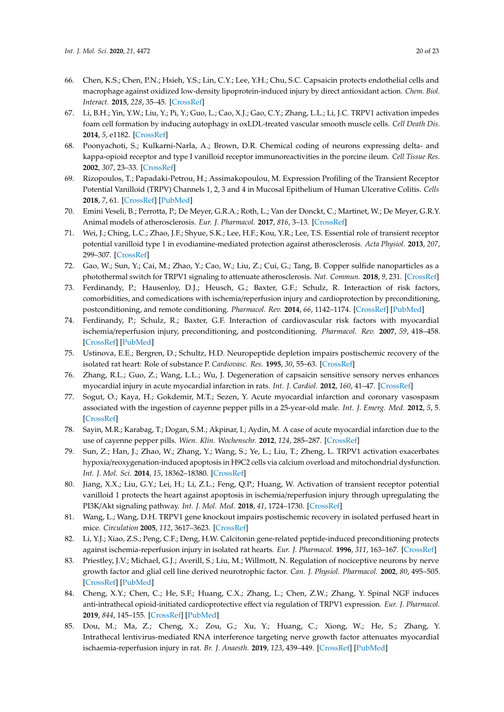- <span id="page-19-0"></span>66. Chen, K.S.; Chen, P.N.; Hsieh, Y.S.; Lin, C.Y.; Lee, Y.H.; Chu, S.C. Capsaicin protects endothelial cells and macrophage against oxidized low-density lipoprotein-induced injury by direct antioxidant action. *Chem. Biol. Interact.* **2015**, *228*, 35–45. [\[CrossRef\]](http://dx.doi.org/10.1016/j.cbi.2015.01.007)
- <span id="page-19-1"></span>67. Li, B.H.; Yin, Y.W.; Liu, Y.; Pi, Y.; Guo, L.; Cao, X.J.; Gao, C.Y.; Zhang, L.L.; Li, J.C. TRPV1 activation impedes foam cell formation by inducing autophagy in oxLDL-treated vascular smooth muscle cells. *Cell Death Dis.* **2014**, *5*, e1182. [\[CrossRef\]](http://dx.doi.org/10.1038/cddis.2014.146)
- <span id="page-19-2"></span>68. Poonyachoti, S.; Kulkarni-Narla, A.; Brown, D.R. Chemical coding of neurons expressing delta- and kappa-opioid receptor and type I vanilloid receptor immunoreactivities in the porcine ileum. *Cell Tissue Res.* **2002**, *307*, 23–33. [\[CrossRef\]](http://dx.doi.org/10.1007/s00441-001-0480-0)
- <span id="page-19-3"></span>69. Rizopoulos, T.; Papadaki-Petrou, H.; Assimakopoulou, M. Expression Profiling of the Transient Receptor Potential Vanilloid (TRPV) Channels 1, 2, 3 and 4 in Mucosal Epithelium of Human Ulcerative Colitis. *Cells* **2018**, *7*, 61. [\[CrossRef\]](http://dx.doi.org/10.3390/cells7060061) [\[PubMed\]](http://www.ncbi.nlm.nih.gov/pubmed/29914124)
- <span id="page-19-4"></span>70. Emini Veseli, B.; Perrotta, P.; De Meyer, G.R.A.; Roth, L.; Van der Donckt, C.; Martinet, W.; De Meyer, G.R.Y. Animal models of atherosclerosis. *Eur. J. Pharmacol.* **2017**, *816*, 3–13. [\[CrossRef\]](http://dx.doi.org/10.1016/j.ejphar.2017.05.010)
- <span id="page-19-5"></span>71. Wei, J.; Ching, L.C.; Zhao, J.F.; Shyue, S.K.; Lee, H.F.; Kou, Y.R.; Lee, T.S. Essential role of transient receptor potential vanilloid type 1 in evodiamine-mediated protection against atherosclerosis. *Acta Physiol.* **2013**, *207*, 299–307. [\[CrossRef\]](http://dx.doi.org/10.1111/apha.12005)
- <span id="page-19-6"></span>72. Gao, W.; Sun, Y.; Cai, M.; Zhao, Y.; Cao, W.; Liu, Z.; Cui, G.; Tang, B. Copper sulfide nanoparticles as a photothermal switch for TRPV1 signaling to attenuate atherosclerosis. *Nat. Commun.* **2018**, *9*, 231. [\[CrossRef\]](http://dx.doi.org/10.1038/s41467-017-02657-z)
- <span id="page-19-7"></span>73. Ferdinandy, P.; Hausenloy, D.J.; Heusch, G.; Baxter, G.F.; Schulz, R. Interaction of risk factors, comorbidities, and comedications with ischemia/reperfusion injury and cardioprotection by preconditioning, postconditioning, and remote conditioning. *Pharmacol. Rev.* **2014**, *66*, 1142–1174. [\[CrossRef\]](http://dx.doi.org/10.1124/pr.113.008300) [\[PubMed\]](http://www.ncbi.nlm.nih.gov/pubmed/25261534)
- <span id="page-19-8"></span>74. Ferdinandy, P.; Schulz, R.; Baxter, G.F. Interaction of cardiovascular risk factors with myocardial ischemia/reperfusion injury, preconditioning, and postconditioning. *Pharmacol. Rev.* **2007**, *59*, 418–458. [\[CrossRef\]](http://dx.doi.org/10.1124/pr.107.06002) [\[PubMed\]](http://www.ncbi.nlm.nih.gov/pubmed/18048761)
- <span id="page-19-9"></span>75. Ustinova, E.E.; Bergren, D.; Schultz, H.D. Neuropeptide depletion impairs postischemic recovery of the isolated rat heart: Role of substance P. *Cardiovasc. Res.* **1995**, *30*, 55–63. [\[CrossRef\]](http://dx.doi.org/10.1016/S0008-6363(95)00010-0)
- <span id="page-19-10"></span>76. Zhang, R.L.; Guo, Z.; Wang, L.L.; Wu, J. Degeneration of capsaicin sensitive sensory nerves enhances myocardial injury in acute myocardial infarction in rats. *Int. J. Cardiol.* **2012**, *160*, 41–47. [\[CrossRef\]](http://dx.doi.org/10.1016/j.ijcard.2011.03.025)
- <span id="page-19-11"></span>77. Sogut, O.; Kaya, H.; Gokdemir, M.T.; Sezen, Y. Acute myocardial infarction and coronary vasospasm associated with the ingestion of cayenne pepper pills in a 25-year-old male. *Int. J. Emerg. Med.* **2012**, *5*, 5. [\[CrossRef\]](http://dx.doi.org/10.1186/1865-1380-5-5)
- <span id="page-19-12"></span>78. Sayin, M.R.; Karabag, T.; Dogan, S.M.; Akpinar, I.; Aydin, M. A case of acute myocardial infarction due to the use of cayenne pepper pills. *Wien. Klin. Wochenschr.* **2012**, *124*, 285–287. [\[CrossRef\]](http://dx.doi.org/10.1007/s00508-012-0163-8)
- <span id="page-19-13"></span>79. Sun, Z.; Han, J.; Zhao, W.; Zhang, Y.; Wang, S.; Ye, L.; Liu, T.; Zheng, L. TRPV1 activation exacerbates hypoxia/reoxygenation-induced apoptosis in H9C2 cells via calcium overload and mitochondrial dysfunction. *Int. J. Mol. Sci.* **2014**, *15*, 18362–18380. [\[CrossRef\]](http://dx.doi.org/10.3390/ijms151018362)
- <span id="page-19-14"></span>80. Jiang, X.X.; Liu, G.Y.; Lei, H.; Li, Z.L.; Feng, Q.P.; Huang, W. Activation of transient receptor potential vanilloid 1 protects the heart against apoptosis in ischemia/reperfusion injury through upregulating the PI3K/Akt signaling pathway. *Int. J. Mol. Med.* **2018**, *41*, 1724–1730. [\[CrossRef\]](http://dx.doi.org/10.3892/ijmm.2017.3338)
- <span id="page-19-15"></span>81. Wang, L.; Wang, D.H. TRPV1 gene knockout impairs postischemic recovery in isolated perfused heart in mice. *Circulation* **2005**, *112*, 3617–3623. [\[CrossRef\]](http://dx.doi.org/10.1161/CIRCULATIONAHA.105.556274)
- <span id="page-19-16"></span>82. Li, Y.J.; Xiao, Z.S.; Peng, C.F.; Deng, H.W. Calcitonin gene-related peptide-induced preconditioning protects against ischemia-reperfusion injury in isolated rat hearts. *Eur. J. Pharmacol.* **1996**, *311*, 163–167. [\[CrossRef\]](http://dx.doi.org/10.1016/0014-2999(96)00426-8)
- <span id="page-19-17"></span>83. Priestley, J.V.; Michael, G.J.; Averill, S.; Liu, M.; Willmott, N. Regulation of nociceptive neurons by nerve growth factor and glial cell line derived neurotrophic factor. *Can. J. Physiol. Pharmacol.* **2002**, *80*, 495–505. [\[CrossRef\]](http://dx.doi.org/10.1139/y02-034) [\[PubMed\]](http://www.ncbi.nlm.nih.gov/pubmed/12056559)
- <span id="page-19-18"></span>84. Cheng, X.Y.; Chen, C.; He, S.F.; Huang, C.X.; Zhang, L.; Chen, Z.W.; Zhang, Y. Spinal NGF induces anti-intrathecal opioid-initiated cardioprotective effect via regulation of TRPV1 expression. *Eur. J. Pharmacol.* **2019**, *844*, 145–155. [\[CrossRef\]](http://dx.doi.org/10.1016/j.ejphar.2018.12.007) [\[PubMed\]](http://www.ncbi.nlm.nih.gov/pubmed/30529472)
- <span id="page-19-19"></span>85. Dou, M.; Ma, Z.; Cheng, X.; Zou, G.; Xu, Y.; Huang, C.; Xiong, W.; He, S.; Zhang, Y. Intrathecal lentivirus-mediated RNA interference targeting nerve growth factor attenuates myocardial ischaemia-reperfusion injury in rat. *Br. J. Anaesth.* **2019**, *123*, 439–449. [\[CrossRef\]](http://dx.doi.org/10.1016/j.bja.2019.06.024) [\[PubMed\]](http://www.ncbi.nlm.nih.gov/pubmed/31383364)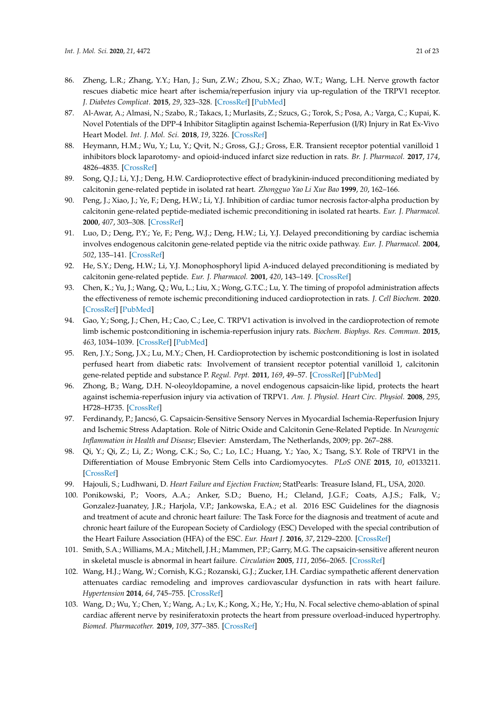- <span id="page-20-0"></span>86. Zheng, L.R.; Zhang, Y.Y.; Han, J.; Sun, Z.W.; Zhou, S.X.; Zhao, W.T.; Wang, L.H. Nerve growth factor rescues diabetic mice heart after ischemia/reperfusion injury via up-regulation of the TRPV1 receptor. *J. Diabetes Complicat.* **2015**, *29*, 323–328. [\[CrossRef\]](http://dx.doi.org/10.1016/j.jdiacomp.2015.01.006) [\[PubMed\]](http://www.ncbi.nlm.nih.gov/pubmed/25650182)
- <span id="page-20-1"></span>87. Al-Awar, A.; Almasi, N.; Szabo, R.; Takacs, I.; Murlasits, Z.; Szucs, G.; Torok, S.; Posa, A.; Varga, C.; Kupai, K. Novel Potentials of the DPP-4 Inhibitor Sitagliptin against Ischemia-Reperfusion (I/R) Injury in Rat Ex-Vivo Heart Model. *Int. J. Mol. Sci.* **2018**, *19*, 3226. [\[CrossRef\]](http://dx.doi.org/10.3390/ijms19103226)
- <span id="page-20-2"></span>88. Heymann, H.M.; Wu, Y.; Lu, Y.; Qvit, N.; Gross, G.J.; Gross, E.R. Transient receptor potential vanilloid 1 inhibitors block laparotomy- and opioid-induced infarct size reduction in rats. *Br. J. Pharmacol.* **2017**, *174*, 4826–4835. [\[CrossRef\]](http://dx.doi.org/10.1111/bph.14064)
- <span id="page-20-3"></span>89. Song, Q.J.; Li, Y.J.; Deng, H.W. Cardioprotective effect of bradykinin-induced preconditioning mediated by calcitonin gene-related peptide in isolated rat heart. *Zhongguo Yao Li Xue Bao* **1999**, *20*, 162–166.
- <span id="page-20-4"></span>90. Peng, J.; Xiao, J.; Ye, F.; Deng, H.W.; Li, Y.J. Inhibition of cardiac tumor necrosis factor-alpha production by calcitonin gene-related peptide-mediated ischemic preconditioning in isolated rat hearts. *Eur. J. Pharmacol.* **2000**, *407*, 303–308. [\[CrossRef\]](http://dx.doi.org/10.1016/S0014-2999(00)00702-0)
- <span id="page-20-5"></span>91. Luo, D.; Deng, P.Y.; Ye, F.; Peng, W.J.; Deng, H.W.; Li, Y.J. Delayed preconditioning by cardiac ischemia involves endogenous calcitonin gene-related peptide via the nitric oxide pathway. *Eur. J. Pharmacol.* **2004**, *502*, 135–141. [\[CrossRef\]](http://dx.doi.org/10.1016/j.ejphar.2004.08.051)
- 92. He, S.Y.; Deng, H.W.; Li, Y.J. Monophosphoryl lipid A-induced delayed preconditioning is mediated by calcitonin gene-related peptide. *Eur. J. Pharmacol.* **2001**, *420*, 143–149. [\[CrossRef\]](http://dx.doi.org/10.1016/S0014-2999(01)00921-9)
- 93. Chen, K.; Yu, J.; Wang, Q.; Wu, L.; Liu, X.; Wong, G.T.C.; Lu, Y. The timing of propofol administration affects the effectiveness of remote ischemic preconditioning induced cardioprotection in rats. *J. Cell Biochem.* **2020**. [\[CrossRef\]](http://dx.doi.org/10.1002/jcb.29671) [\[PubMed\]](http://www.ncbi.nlm.nih.gov/pubmed/32030809)
- <span id="page-20-16"></span><span id="page-20-6"></span>94. Gao, Y.; Song, J.; Chen, H.; Cao, C.; Lee, C. TRPV1 activation is involved in the cardioprotection of remote limb ischemic postconditioning in ischemia-reperfusion injury rats. *Biochem. Biophys. Res. Commun.* **2015**, *463*, 1034–1039. [\[CrossRef\]](http://dx.doi.org/10.1016/j.bbrc.2015.06.054) [\[PubMed\]](http://www.ncbi.nlm.nih.gov/pubmed/26079883)
- <span id="page-20-7"></span>95. Ren, J.Y.; Song, J.X.; Lu, M.Y.; Chen, H. Cardioprotection by ischemic postconditioning is lost in isolated perfused heart from diabetic rats: Involvement of transient receptor potential vanilloid 1, calcitonin gene-related peptide and substance P. *Regul. Pept.* **2011**, *169*, 49–57. [\[CrossRef\]](http://dx.doi.org/10.1016/j.regpep.2011.04.004) [\[PubMed\]](http://www.ncbi.nlm.nih.gov/pubmed/21554904)
- <span id="page-20-17"></span><span id="page-20-8"></span>96. Zhong, B.; Wang, D.H. N-oleoyldopamine, a novel endogenous capsaicin-like lipid, protects the heart against ischemia-reperfusion injury via activation of TRPV1. *Am. J. Physiol. Heart Circ. Physiol.* **2008**, *295*, H728–H735. [\[CrossRef\]](http://dx.doi.org/10.1152/ajpheart.00022.2008)
- <span id="page-20-9"></span>97. Ferdinandy, P.; Jancsó, G. Capsaicin-Sensitive Sensory Nerves in Myocardial Ischemia-Reperfusion Injury and Ischemic Stress Adaptation. Role of Nitric Oxide and Calcitonin Gene-Related Peptide. In *Neurogenic Inflammation in Health and Disease*; Elsevier: Amsterdam, The Netherlands, 2009; pp. 267–288.
- <span id="page-20-10"></span>98. Qi, Y.; Qi, Z.; Li, Z.; Wong, C.K.; So, C.; Lo, I.C.; Huang, Y.; Yao, X.; Tsang, S.Y. Role of TRPV1 in the Differentiation of Mouse Embryonic Stem Cells into Cardiomyocytes. *PLoS ONE* **2015**, *10*, e0133211. [\[CrossRef\]](http://dx.doi.org/10.1371/journal.pone.0133211)
- <span id="page-20-11"></span>99. Hajouli, S.; Ludhwani, D. *Heart Failure and Ejection Fraction*; StatPearls: Treasure Island, FL, USA, 2020.
- <span id="page-20-12"></span>100. Ponikowski, P.; Voors, A.A.; Anker, S.D.; Bueno, H.; Cleland, J.G.F.; Coats, A.J.S.; Falk, V.; Gonzalez-Juanatey, J.R.; Harjola, V.P.; Jankowska, E.A.; et al. 2016 ESC Guidelines for the diagnosis and treatment of acute and chronic heart failure: The Task Force for the diagnosis and treatment of acute and chronic heart failure of the European Society of Cardiology (ESC) Developed with the special contribution of the Heart Failure Association (HFA) of the ESC. *Eur. Heart J.* **2016**, *37*, 2129–2200. [\[CrossRef\]](http://dx.doi.org/10.1093/eurheartj/ehw128)
- <span id="page-20-13"></span>101. Smith, S.A.; Williams, M.A.; Mitchell, J.H.; Mammen, P.P.; Garry, M.G. The capsaicin-sensitive afferent neuron in skeletal muscle is abnormal in heart failure. *Circulation* **2005**, *111*, 2056–2065. [\[CrossRef\]](http://dx.doi.org/10.1161/01.CIR.0000162473.10951.0A)
- <span id="page-20-14"></span>102. Wang, H.J.; Wang, W.; Cornish, K.G.; Rozanski, G.J.; Zucker, I.H. Cardiac sympathetic afferent denervation attenuates cardiac remodeling and improves cardiovascular dysfunction in rats with heart failure. *Hypertension* **2014**, *64*, 745–755. [\[CrossRef\]](http://dx.doi.org/10.1161/HYPERTENSIONAHA.114.03699)
- <span id="page-20-15"></span>103. Wang, D.; Wu, Y.; Chen, Y.; Wang, A.; Lv, K.; Kong, X.; He, Y.; Hu, N. Focal selective chemo-ablation of spinal cardiac afferent nerve by resiniferatoxin protects the heart from pressure overload-induced hypertrophy. *Biomed. Pharmacother.* **2019**, *109*, 377–385. [\[CrossRef\]](http://dx.doi.org/10.1016/j.biopha.2018.10.156)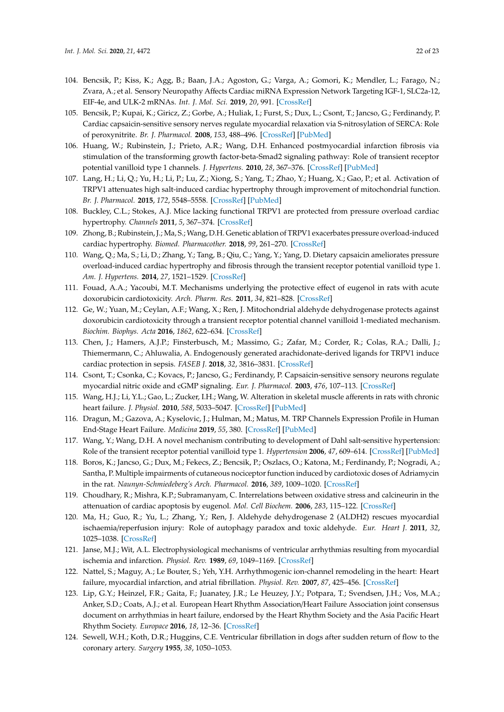- <span id="page-21-23"></span><span id="page-21-21"></span><span id="page-21-20"></span><span id="page-21-19"></span><span id="page-21-18"></span><span id="page-21-17"></span><span id="page-21-0"></span>104. Bencsik, P.; Kiss, K.; Agg, B.; Baan, J.A.; Agoston, G.; Varga, A.; Gomori, K.; Mendler, L.; Farago, N.; Zvara, A.; et al. Sensory Neuropathy Affects Cardiac miRNA Expression Network Targeting IGF-1, SLC2a-12, EIF-4e, and ULK-2 mRNAs. *Int. J. Mol. Sci.* **2019**, *20*, 991. [\[CrossRef\]](http://dx.doi.org/10.3390/ijms20040991)
- <span id="page-21-22"></span><span id="page-21-1"></span>105. Bencsik, P.; Kupai, K.; Giricz, Z.; Gorbe, A.; Huliak, I.; Furst, S.; Dux, L.; Csont, T.; Jancso, G.; Ferdinandy, P. Cardiac capsaicin-sensitive sensory nerves regulate myocardial relaxation via S-nitrosylation of SERCA: Role of peroxynitrite. *Br. J. Pharmacol.* **2008**, *153*, 488–496. [\[CrossRef\]](http://dx.doi.org/10.1038/sj.bjp.0707599) [\[PubMed\]](http://www.ncbi.nlm.nih.gov/pubmed/18037908)
- <span id="page-21-24"></span><span id="page-21-2"></span>106. Huang, W.; Rubinstein, J.; Prieto, A.R.; Wang, D.H. Enhanced postmyocardial infarction fibrosis via stimulation of the transforming growth factor-beta-Smad2 signaling pathway: Role of transient receptor potential vanilloid type 1 channels. *J. Hypertens.* **2010**, *28*, 367–376. [\[CrossRef\]](http://dx.doi.org/10.1097/HJH.0b013e328333af48) [\[PubMed\]](http://www.ncbi.nlm.nih.gov/pubmed/19887954)
- <span id="page-21-3"></span>107. Lang, H.; Li, Q.; Yu, H.; Li, P.; Lu, Z.; Xiong, S.; Yang, T.; Zhao, Y.; Huang, X.; Gao, P.; et al. Activation of TRPV1 attenuates high salt-induced cardiac hypertrophy through improvement of mitochondrial function. *Br. J. Pharmacol.* **2015**, *172*, 5548–5558. [\[CrossRef\]](http://dx.doi.org/10.1111/bph.12987) [\[PubMed\]](http://www.ncbi.nlm.nih.gov/pubmed/25339153)
- <span id="page-21-26"></span><span id="page-21-4"></span>108. Buckley, C.L.; Stokes, A.J. Mice lacking functional TRPV1 are protected from pressure overload cardiac hypertrophy. *Channels* **2011**, *5*, 367–374. [\[CrossRef\]](http://dx.doi.org/10.4161/chan.5.4.17083)
- <span id="page-21-25"></span><span id="page-21-5"></span>109. Zhong, B.; Rubinstein, J.; Ma, S.; Wang, D.H. Genetic ablation of TRPV1 exacerbates pressure overload-induced cardiac hypertrophy. *Biomed. Pharmacother.* **2018**, *99*, 261–270. [\[CrossRef\]](http://dx.doi.org/10.1016/j.biopha.2018.01.065)
- <span id="page-21-6"></span>110. Wang, Q.; Ma, S.; Li, D.; Zhang, Y.; Tang, B.; Qiu, C.; Yang, Y.; Yang, D. Dietary capsaicin ameliorates pressure overload-induced cardiac hypertrophy and fibrosis through the transient receptor potential vanilloid type 1. *Am. J. Hypertens.* **2014**, *27*, 1521–1529. [\[CrossRef\]](http://dx.doi.org/10.1093/ajh/hpu068)
- <span id="page-21-7"></span>111. Fouad, A.A.; Yacoubi, M.T. Mechanisms underlying the protective effect of eugenol in rats with acute doxorubicin cardiotoxicity. *Arch. Pharm. Res.* **2011**, *34*, 821–828. [\[CrossRef\]](http://dx.doi.org/10.1007/s12272-011-0516-2)
- <span id="page-21-8"></span>112. Ge, W.; Yuan, M.; Ceylan, A.F.; Wang, X.; Ren, J. Mitochondrial aldehyde dehydrogenase protects against doxorubicin cardiotoxicity through a transient receptor potential channel vanilloid 1-mediated mechanism. *Biochim. Biophys. Acta* **2016**, *1862*, 622–634. [\[CrossRef\]](http://dx.doi.org/10.1016/j.bbadis.2015.12.014)
- <span id="page-21-9"></span>113. Chen, J.; Hamers, A.J.P.; Finsterbusch, M.; Massimo, G.; Zafar, M.; Corder, R.; Colas, R.A.; Dalli, J.; Thiemermann, C.; Ahluwalia, A. Endogenously generated arachidonate-derived ligands for TRPV1 induce cardiac protection in sepsis. *FASEB J.* **2018**, *32*, 3816–3831. [\[CrossRef\]](http://dx.doi.org/10.1096/fj.201701303R)
- <span id="page-21-10"></span>114. Csont, T.; Csonka, C.; Kovacs, P.; Jancso, G.; Ferdinandy, P. Capsaicin-sensitive sensory neurons regulate myocardial nitric oxide and cGMP signaling. *Eur. J. Pharmacol.* **2003**, *476*, 107–113. [\[CrossRef\]](http://dx.doi.org/10.1016/S0014-2999(03)02117-4)
- <span id="page-21-11"></span>115. Wang, H.J.; Li, Y.L.; Gao, L.; Zucker, I.H.; Wang, W. Alteration in skeletal muscle afferents in rats with chronic heart failure. *J. Physiol.* **2010**, *588*, 5033–5047. [\[CrossRef\]](http://dx.doi.org/10.1113/jphysiol.2010.199562) [\[PubMed\]](http://www.ncbi.nlm.nih.gov/pubmed/21041525)
- <span id="page-21-14"></span>116. Dragun, M.; Gazova, A.; Kyselovic, J.; Hulman, M.; Matus, M. TRP Channels Expression Profile in Human End-Stage Heart Failure. *Medicina* **2019**, *55*, 380. [\[CrossRef\]](http://dx.doi.org/10.3390/medicina55070380) [\[PubMed\]](http://www.ncbi.nlm.nih.gov/pubmed/31315301)
- <span id="page-21-12"></span>117. Wang, Y.; Wang, D.H. A novel mechanism contributing to development of Dahl salt-sensitive hypertension: Role of the transient receptor potential vanilloid type 1. *Hypertension* **2006**, *47*, 609–614. [\[CrossRef\]](http://dx.doi.org/10.1161/01.HYP.0000197390.10412.c4) [\[PubMed\]](http://www.ncbi.nlm.nih.gov/pubmed/16365187)
- <span id="page-21-13"></span>118. Boros, K.; Jancso, G.; Dux, M.; Fekecs, Z.; Bencsik, P.; Oszlacs, O.; Katona, M.; Ferdinandy, P.; Nogradi, A.; Santha, P. Multiple impairments of cutaneous nociceptor function induced by cardiotoxic doses of Adriamycin in the rat. *Naunyn-Schmiedeberg's Arch. Pharmacol.* **2016**, *389*, 1009–1020. [\[CrossRef\]](http://dx.doi.org/10.1007/s00210-016-1267-x)
- <span id="page-21-15"></span>119. Choudhary, R.; Mishra, K.P.; Subramanyam, C. Interrelations between oxidative stress and calcineurin in the attenuation of cardiac apoptosis by eugenol. *Mol. Cell Biochem.* **2006**, *283*, 115–122. [\[CrossRef\]](http://dx.doi.org/10.1007/s11010-006-2386-3)
- <span id="page-21-16"></span>120. Ma, H.; Guo, R.; Yu, L.; Zhang, Y.; Ren, J. Aldehyde dehydrogenase 2 (ALDH2) rescues myocardial ischaemia/reperfusion injury: Role of autophagy paradox and toxic aldehyde. *Eur. Heart J.* **2011**, *32*, 1025–1038. [\[CrossRef\]](http://dx.doi.org/10.1093/eurheartj/ehq253)
- <span id="page-21-27"></span>121. Janse, M.J.; Wit, A.L. Electrophysiological mechanisms of ventricular arrhythmias resulting from myocardial ischemia and infarction. *Physiol. Rev.* **1989**, *69*, 1049–1169. [\[CrossRef\]](http://dx.doi.org/10.1152/physrev.1989.69.4.1049)
- <span id="page-21-28"></span>122. Nattel, S.; Maguy, A.; Le Bouter, S.; Yeh, Y.H. Arrhythmogenic ion-channel remodeling in the heart: Heart failure, myocardial infarction, and atrial fibrillation. *Physiol. Rev.* **2007**, *87*, 425–456. [\[CrossRef\]](http://dx.doi.org/10.1152/physrev.00014.2006)
- <span id="page-21-29"></span>123. Lip, G.Y.; Heinzel, F.R.; Gaita, F.; Juanatey, J.R.; Le Heuzey, J.Y.; Potpara, T.; Svendsen, J.H.; Vos, M.A.; Anker, S.D.; Coats, A.J.; et al. European Heart Rhythm Association/Heart Failure Association joint consensus document on arrhythmias in heart failure, endorsed by the Heart Rhythm Society and the Asia Pacific Heart Rhythm Society. *Europace* **2016**, *18*, 12–36. [\[CrossRef\]](http://dx.doi.org/10.1093/europace/euv191)
- <span id="page-21-30"></span>124. Sewell, W.H.; Koth, D.R.; Huggins, C.E. Ventricular fibrillation in dogs after sudden return of flow to the coronary artery. *Surgery* **1955**, *38*, 1050–1053.